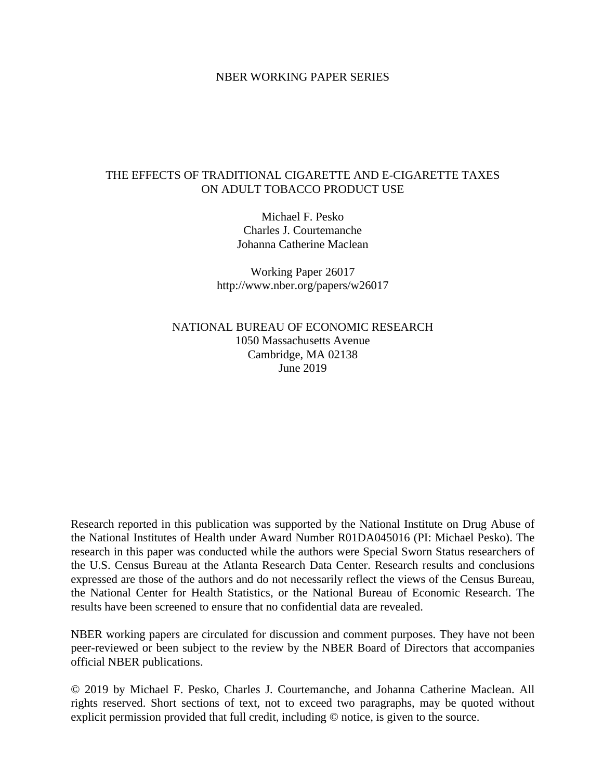# NBER WORKING PAPER SERIES

# THE EFFECTS OF TRADITIONAL CIGARETTE AND E-CIGARETTE TAXES ON ADULT TOBACCO PRODUCT USE

Michael F. Pesko Charles J. Courtemanche Johanna Catherine Maclean

Working Paper 26017 http://www.nber.org/papers/w26017

NATIONAL BUREAU OF ECONOMIC RESEARCH 1050 Massachusetts Avenue Cambridge, MA 02138 June 2019

Research reported in this publication was supported by the National Institute on Drug Abuse of the National Institutes of Health under Award Number R01DA045016 (PI: Michael Pesko). The research in this paper was conducted while the authors were Special Sworn Status researchers of the U.S. Census Bureau at the Atlanta Research Data Center. Research results and conclusions expressed are those of the authors and do not necessarily reflect the views of the Census Bureau, the National Center for Health Statistics, or the National Bureau of Economic Research. The results have been screened to ensure that no confidential data are revealed.

NBER working papers are circulated for discussion and comment purposes. They have not been peer-reviewed or been subject to the review by the NBER Board of Directors that accompanies official NBER publications.

© 2019 by Michael F. Pesko, Charles J. Courtemanche, and Johanna Catherine Maclean. All rights reserved. Short sections of text, not to exceed two paragraphs, may be quoted without explicit permission provided that full credit, including © notice, is given to the source.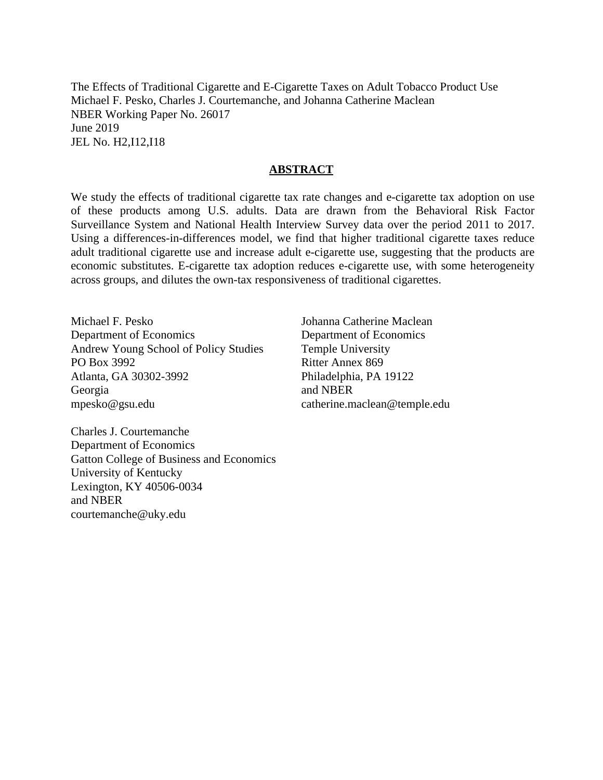The Effects of Traditional Cigarette and E-Cigarette Taxes on Adult Tobacco Product Use Michael F. Pesko, Charles J. Courtemanche, and Johanna Catherine Maclean NBER Working Paper No. 26017 June 2019 JEL No. H2,I12,I18

# **ABSTRACT**

We study the effects of traditional cigarette tax rate changes and e-cigarette tax adoption on use of these products among U.S. adults. Data are drawn from the Behavioral Risk Factor Surveillance System and National Health Interview Survey data over the period 2011 to 2017. Using a differences-in-differences model, we find that higher traditional cigarette taxes reduce adult traditional cigarette use and increase adult e-cigarette use, suggesting that the products are economic substitutes. E-cigarette tax adoption reduces e-cigarette use, with some heterogeneity across groups, and dilutes the own-tax responsiveness of traditional cigarettes.

Michael F. Pesko Department of Economics Andrew Young School of Policy Studies PO Box 3992 Atlanta, GA 30302-3992 Georgia mpesko@gsu.edu

Johanna Catherine Maclean Department of Economics Temple University Ritter Annex 869 Philadelphia, PA 19122 and NBER catherine.maclean@temple.edu

Charles J. Courtemanche Department of Economics Gatton College of Business and Economics University of Kentucky Lexington, KY 40506-0034 and NBER courtemanche@uky.edu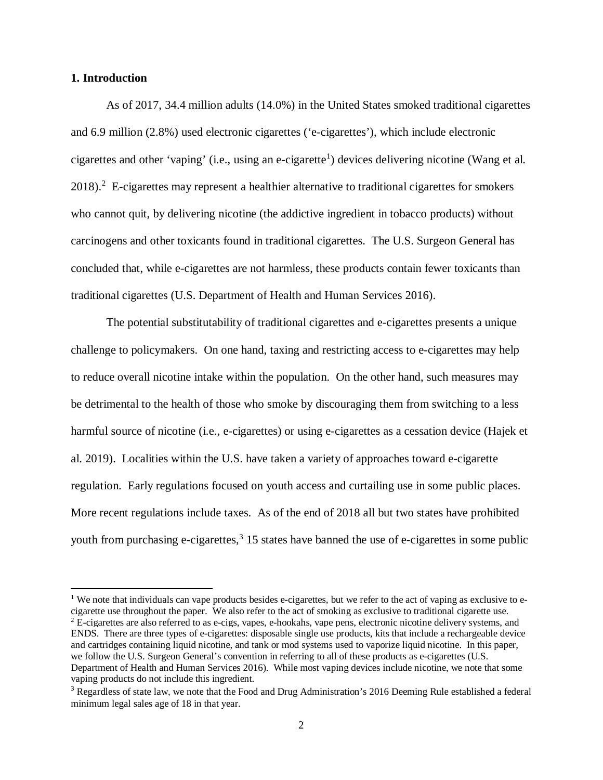## **1. Introduction**

 $\overline{\phantom{a}}$ 

As of 2017, 34.4 million adults (14.0%) in the United States smoked traditional cigarettes and 6.9 million (2.8%) used electronic cigarettes ('e-cigarettes'), which include electronic cigarettes and other 'vaping' (i.e., using an e-cigarette<sup>[1](#page-2-0)</sup>) devices delivering nicotine (Wang et al.  $2018$  $2018$ ).<sup>2</sup> E-cigarettes may represent a healthier alternative to traditional cigarettes for smokers who cannot quit, by delivering nicotine (the addictive ingredient in tobacco products) without carcinogens and other toxicants found in traditional cigarettes. The U.S. Surgeon General has concluded that, while e-cigarettes are not harmless, these products contain fewer toxicants than traditional cigarettes (U.S. Department of Health and Human Services 2016).

The potential substitutability of traditional cigarettes and e-cigarettes presents a unique challenge to policymakers. On one hand, taxing and restricting access to e-cigarettes may help to reduce overall nicotine intake within the population. On the other hand, such measures may be detrimental to the health of those who smoke by discouraging them from switching to a less harmful source of nicotine (i.e., e-cigarettes) or using e-cigarettes as a cessation device (Hajek et al. 2019). Localities within the U.S. have taken a variety of approaches toward e-cigarette regulation. Early regulations focused on youth access and curtailing use in some public places. More recent regulations include taxes. As of the end of 2018 all but two states have prohibited youth from purchasing e-cigarettes,<sup>[3](#page-2-2)</sup> 15 states have banned the use of e-cigarettes in some public

<span id="page-2-1"></span><span id="page-2-0"></span><sup>&</sup>lt;sup>1</sup> We note that individuals can vape products besides e-cigarettes, but we refer to the act of vaping as exclusive to ecigarette use throughout the paper. We also refer to the act of smoking as exclusive to traditional cigarette use.  $2^{2}$  E-cigarettes are also referred to as e-cigs, vapes, e-hookahs, vape pens, electronic nicotine delivery systems, and ENDS. There are three types of e-cigarettes: disposable single use products, kits that include a rechargeable device and cartridges containing liquid nicotine, and tank or mod systems used to vaporize liquid nicotine. In this paper, we follow the U.S. Surgeon General's convention in referring to all of these products as e-cigarettes (U.S. Department of Health and Human Services 2016). While most vaping devices include nicotine, we note that some vaping products do not include this ingredient.

<span id="page-2-2"></span><sup>&</sup>lt;sup>3</sup> Regardless of state law, we note that the Food and Drug Administration's 2016 Deeming Rule established a federal minimum legal sales age of 18 in that year.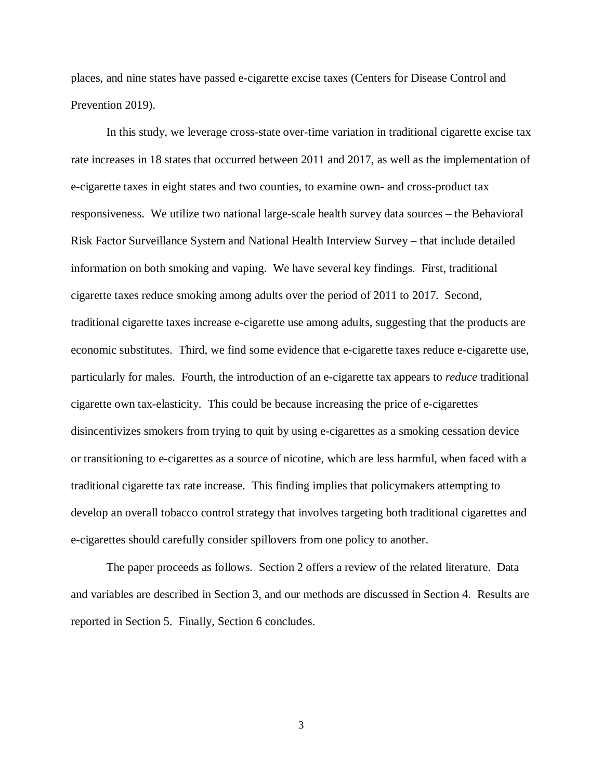places, and nine states have passed e-cigarette excise taxes (Centers for Disease Control and Prevention 2019).

In this study, we leverage cross-state over-time variation in traditional cigarette excise tax rate increases in 18 states that occurred between 2011 and 2017, as well as the implementation of e-cigarette taxes in eight states and two counties, to examine own- and cross-product tax responsiveness. We utilize two national large-scale health survey data sources – the Behavioral Risk Factor Surveillance System and National Health Interview Survey – that include detailed information on both smoking and vaping. We have several key findings. First, traditional cigarette taxes reduce smoking among adults over the period of 2011 to 2017. Second, traditional cigarette taxes increase e-cigarette use among adults, suggesting that the products are economic substitutes. Third, we find some evidence that e-cigarette taxes reduce e-cigarette use, particularly for males. Fourth, the introduction of an e-cigarette tax appears to *reduce* traditional cigarette own tax-elasticity. This could be because increasing the price of e-cigarettes disincentivizes smokers from trying to quit by using e-cigarettes as a smoking cessation device or transitioning to e-cigarettes as a source of nicotine, which are less harmful, when faced with a traditional cigarette tax rate increase. This finding implies that policymakers attempting to develop an overall tobacco control strategy that involves targeting both traditional cigarettes and e-cigarettes should carefully consider spillovers from one policy to another.

The paper proceeds as follows. Section 2 offers a review of the related literature. Data and variables are described in Section 3, and our methods are discussed in Section 4. Results are reported in Section 5. Finally, Section 6 concludes.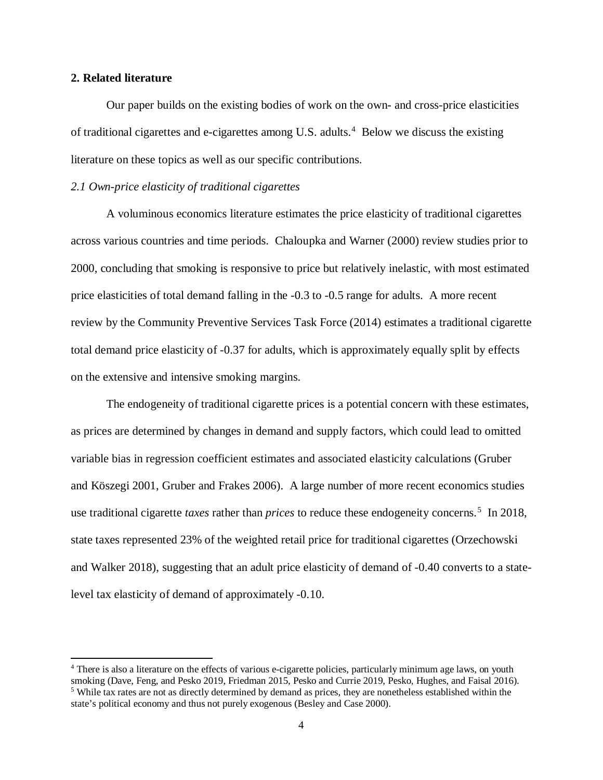## **2. Related literature**

l

Our paper builds on the existing bodies of work on the own- and cross-price elasticities of traditional cigarettes and e-cigarettes among U.S. adults. $4$  Below we discuss the existing literature on these topics as well as our specific contributions.

## *2.1 Own-price elasticity of traditional cigarettes*

A voluminous economics literature estimates the price elasticity of traditional cigarettes across various countries and time periods. Chaloupka and Warner (2000) review studies prior to 2000, concluding that smoking is responsive to price but relatively inelastic, with most estimated price elasticities of total demand falling in the -0.3 to -0.5 range for adults. A more recent review by the Community Preventive Services Task Force (2014) estimates a traditional cigarette total demand price elasticity of -0.37 for adults, which is approximately equally split by effects on the extensive and intensive smoking margins.

The endogeneity of traditional cigarette prices is a potential concern with these estimates, as prices are determined by changes in demand and supply factors, which could lead to omitted variable bias in regression coefficient estimates and associated elasticity calculations (Gruber and Köszegi 2001, Gruber and Frakes 2006). A large number of more recent economics studies use traditional cigarette *taxes* rather than *prices* to reduce these endogeneity concerns. [5](#page-4-1) In 2018, state taxes represented 23% of the weighted retail price for traditional cigarettes (Orzechowski and Walker 2018), suggesting that an adult price elasticity of demand of -0.40 converts to a statelevel tax elasticity of demand of approximately -0.10.

<span id="page-4-1"></span><span id="page-4-0"></span><sup>&</sup>lt;sup>4</sup> There is also a literature on the effects of various e-cigarette policies, particularly minimum age laws, on youth smoking (Dave, Feng, and Pesko 2019, Friedman 2015, Pesko and Currie 2019, Pesko, Hughes, and Faisal 20 <sup>5</sup> While tax rates are not as directly determined by demand as prices, they are nonetheless established within the state's political economy and thus not purely exogenous (Besley and Case 2000).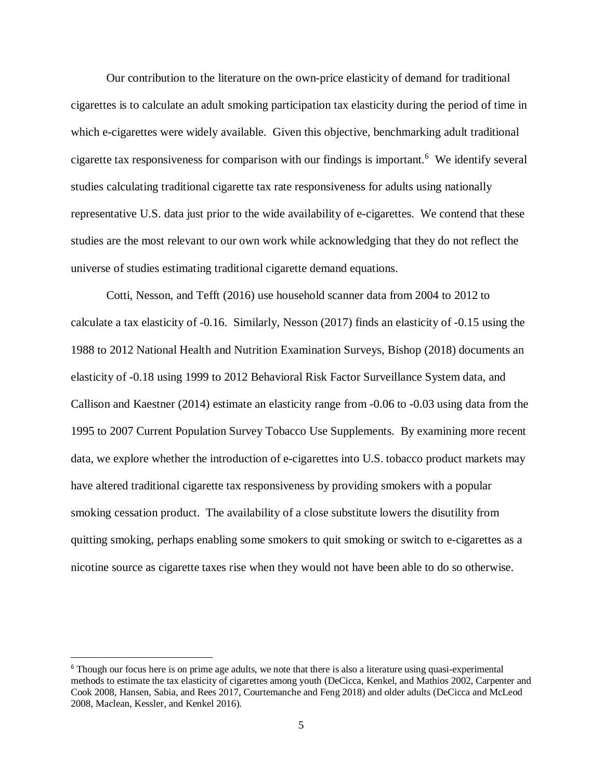Our contribution to the literature on the own-price elasticity of demand for traditional cigarettes is to calculate an adult smoking participation tax elasticity during the period of time in which e-cigarettes were widely available. Given this objective, benchmarking adult traditional cigarette tax responsiveness for comparison with our findings is important. [6](#page-5-0) We identify several studies calculating traditional cigarette tax rate responsiveness for adults using nationally representative U.S. data just prior to the wide availability of e-cigarettes. We contend that these studies are the most relevant to our own work while acknowledging that they do not reflect the universe of studies estimating traditional cigarette demand equations.

Cotti, Nesson, and Tefft (2016) use household scanner data from 2004 to 2012 to calculate a tax elasticity of -0.16. Similarly, Nesson (2017) finds an elasticity of -0.15 using the 1988 to 2012 National Health and Nutrition Examination Surveys, Bishop (2018) documents an elasticity of -0.18 using 1999 to 2012 Behavioral Risk Factor Surveillance System data, and Callison and Kaestner (2014) estimate an elasticity range from -0.06 to -0.03 using data from the 1995 to 2007 Current Population Survey Tobacco Use Supplements. By examining more recent data, we explore whether the introduction of e-cigarettes into U.S. tobacco product markets may have altered traditional cigarette tax responsiveness by providing smokers with a popular smoking cessation product. The availability of a close substitute lowers the disutility from quitting smoking, perhaps enabling some smokers to quit smoking or switch to e-cigarettes as a nicotine source as cigarette taxes rise when they would not have been able to do so otherwise.

l

<span id="page-5-0"></span><sup>&</sup>lt;sup>6</sup> Though our focus here is on prime age adults, we note that there is also a literature using quasi-experimental methods to estimate the tax elasticity of cigarettes among youth (DeCicca, Kenkel, and Mathios 2002, Carpenter and Cook 2008, Hansen, Sabia, and Rees 2017, Courtemanche and Feng 2018) and older adults (DeCicca and McLeod 2008, Maclean, Kessler, and Kenkel 2016).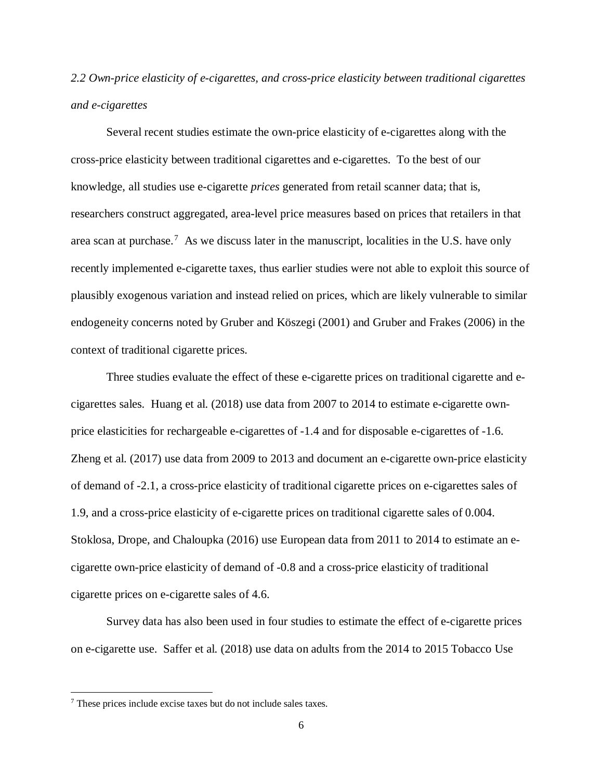*2.2 Own-price elasticity of e-cigarettes, and cross-price elasticity between traditional cigarettes and e-cigarettes*

Several recent studies estimate the own-price elasticity of e-cigarettes along with the cross-price elasticity between traditional cigarettes and e-cigarettes. To the best of our knowledge, all studies use e-cigarette *prices* generated from retail scanner data; that is, researchers construct aggregated, area-level price measures based on prices that retailers in that area scan at purchase.<sup>[7](#page-6-0)</sup> As we discuss later in the manuscript, localities in the U.S. have only recently implemented e-cigarette taxes, thus earlier studies were not able to exploit this source of plausibly exogenous variation and instead relied on prices, which are likely vulnerable to similar endogeneity concerns noted by Gruber and Köszegi (2001) and Gruber and Frakes (2006) in the context of traditional cigarette prices.

Three studies evaluate the effect of these e-cigarette prices on traditional cigarette and ecigarettes sales. Huang et al. (2018) use data from 2007 to 2014 to estimate e-cigarette ownprice elasticities for rechargeable e-cigarettes of -1.4 and for disposable e-cigarettes of -1.6. Zheng et al. (2017) use data from 2009 to 2013 and document an e-cigarette own-price elasticity of demand of -2.1, a cross-price elasticity of traditional cigarette prices on e-cigarettes sales of 1.9, and a cross-price elasticity of e-cigarette prices on traditional cigarette sales of 0.004. Stoklosa, Drope, and Chaloupka (2016) use European data from 2011 to 2014 to estimate an ecigarette own-price elasticity of demand of -0.8 and a cross-price elasticity of traditional cigarette prices on e-cigarette sales of 4.6.

Survey data has also been used in four studies to estimate the effect of e-cigarette prices on e-cigarette use. Saffer et al. (2018) use data on adults from the 2014 to 2015 Tobacco Use

 $\overline{\phantom{a}}$ 

<span id="page-6-0"></span><sup>7</sup> These prices include excise taxes but do not include sales taxes.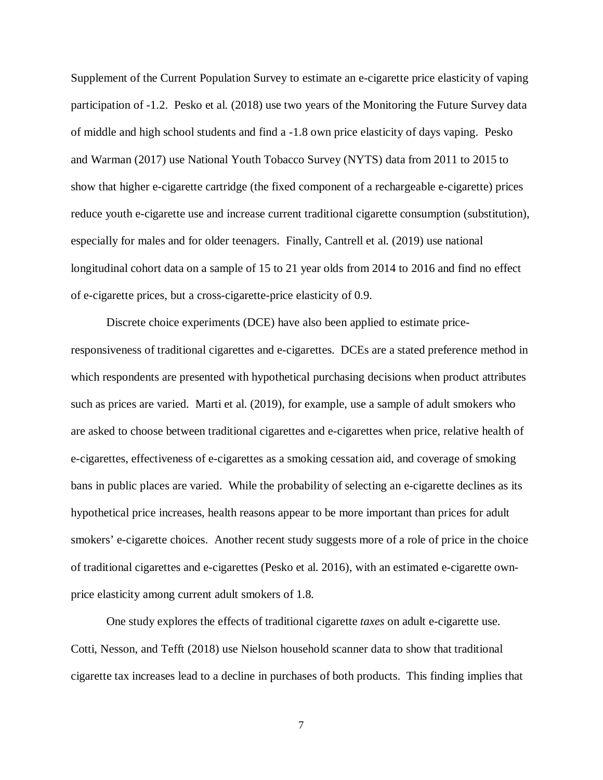Supplement of the Current Population Survey to estimate an e-cigarette price elasticity of vaping participation of -1.2. Pesko et al. (2018) use two years of the Monitoring the Future Survey data of middle and high school students and find a -1.8 own price elasticity of days vaping. Pesko and Warman (2017) use National Youth Tobacco Survey (NYTS) data from 2011 to 2015 to show that higher e-cigarette cartridge (the fixed component of a rechargeable e-cigarette) prices reduce youth e-cigarette use and increase current traditional cigarette consumption (substitution), especially for males and for older teenagers. Finally, Cantrell et al. (2019) use national longitudinal cohort data on a sample of 15 to 21 year olds from 2014 to 2016 and find no effect of e-cigarette prices, but a cross-cigarette-price elasticity of 0.9.

Discrete choice experiments (DCE) have also been applied to estimate priceresponsiveness of traditional cigarettes and e-cigarettes. DCEs are a stated preference method in which respondents are presented with hypothetical purchasing decisions when product attributes such as prices are varied. Marti et al. (2019), for example, use a sample of adult smokers who are asked to choose between traditional cigarettes and e-cigarettes when price, relative health of e-cigarettes, effectiveness of e-cigarettes as a smoking cessation aid, and coverage of smoking bans in public places are varied. While the probability of selecting an e-cigarette declines as its hypothetical price increases, health reasons appear to be more important than prices for adult smokers' e-cigarette choices. Another recent study suggests more of a role of price in the choice of traditional cigarettes and e-cigarettes (Pesko et al. 2016), with an estimated e-cigarette ownprice elasticity among current adult smokers of 1.8.

One study explores the effects of traditional cigarette *taxes* on adult e-cigarette use. Cotti, Nesson, and Tefft (2018) use Nielson household scanner data to show that traditional cigarette tax increases lead to a decline in purchases of both products. This finding implies that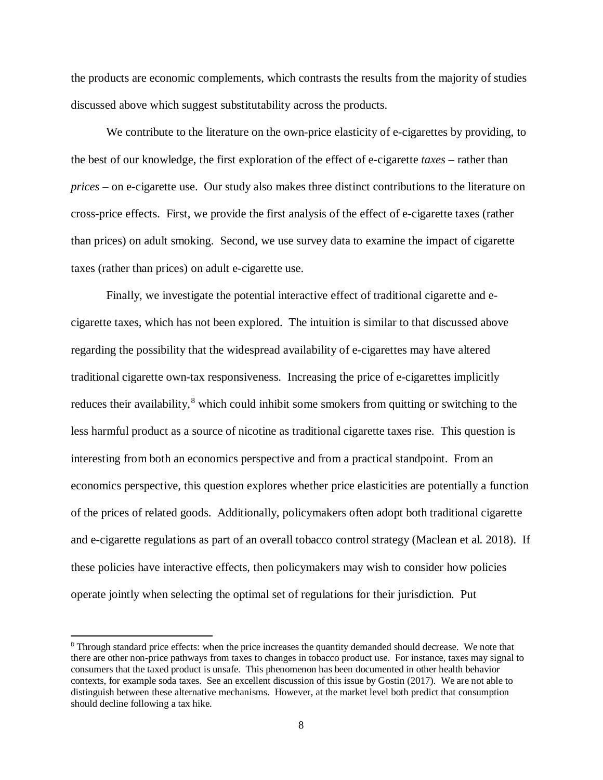the products are economic complements, which contrasts the results from the majority of studies discussed above which suggest substitutability across the products.

We contribute to the literature on the own-price elasticity of e-cigarettes by providing, to the best of our knowledge, the first exploration of the effect of e-cigarette *taxes* – rather than *prices* – on e-cigarette use. Our study also makes three distinct contributions to the literature on cross-price effects. First, we provide the first analysis of the effect of e-cigarette taxes (rather than prices) on adult smoking. Second, we use survey data to examine the impact of cigarette taxes (rather than prices) on adult e-cigarette use.

Finally, we investigate the potential interactive effect of traditional cigarette and ecigarette taxes, which has not been explored. The intuition is similar to that discussed above regarding the possibility that the widespread availability of e-cigarettes may have altered traditional cigarette own-tax responsiveness. Increasing the price of e-cigarettes implicitly reduces their availability,<sup>[8](#page-8-0)</sup> which could inhibit some smokers from quitting or switching to the less harmful product as a source of nicotine as traditional cigarette taxes rise. This question is interesting from both an economics perspective and from a practical standpoint. From an economics perspective, this question explores whether price elasticities are potentially a function of the prices of related goods. Additionally, policymakers often adopt both traditional cigarette and e-cigarette regulations as part of an overall tobacco control strategy (Maclean et al. 2018). If these policies have interactive effects, then policymakers may wish to consider how policies operate jointly when selecting the optimal set of regulations for their jurisdiction. Put

 $\overline{\phantom{a}}$ 

<span id="page-8-0"></span><sup>&</sup>lt;sup>8</sup> Through standard price effects: when the price increases the quantity demanded should decrease. We note that there are other non-price pathways from taxes to changes in tobacco product use. For instance, taxes may signal to consumers that the taxed product is unsafe. This phenomenon has been documented in other health behavior contexts, for example soda taxes. See an excellent discussion of this issue by Gostin (2017). We are not able to distinguish between these alternative mechanisms. However, at the market level both predict that consumption should decline following a tax hike.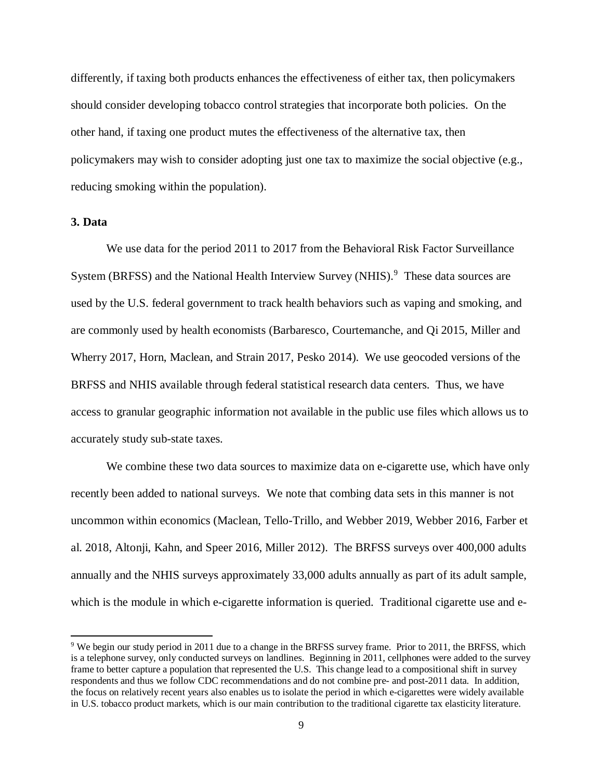differently, if taxing both products enhances the effectiveness of either tax, then policymakers should consider developing tobacco control strategies that incorporate both policies. On the other hand, if taxing one product mutes the effectiveness of the alternative tax, then policymakers may wish to consider adopting just one tax to maximize the social objective (e.g., reducing smoking within the population).

# **3. Data**

 $\overline{\phantom{a}}$ 

We use data for the period 2011 to 2017 from the Behavioral Risk Factor Surveillance System (BRFSS) and the National Health Interview Survey (NHIS).<sup>[9](#page-9-0)</sup> These data sources are used by the U.S. federal government to track health behaviors such as vaping and smoking, and are commonly used by health economists (Barbaresco, Courtemanche, and Qi 2015, Miller and Wherry 2017, Horn, Maclean, and Strain 2017, Pesko 2014). We use geocoded versions of the BRFSS and NHIS available through federal statistical research data centers. Thus, we have access to granular geographic information not available in the public use files which allows us to accurately study sub-state taxes.

We combine these two data sources to maximize data on e-cigarette use, which have only recently been added to national surveys. We note that combing data sets in this manner is not uncommon within economics (Maclean, Tello-Trillo, and Webber 2019, Webber 2016, Farber et al. 2018, Altonji, Kahn, and Speer 2016, Miller 2012). The BRFSS surveys over 400,000 adults annually and the NHIS surveys approximately 33,000 adults annually as part of its adult sample, which is the module in which e-cigarette information is queried. Traditional cigarette use and e-

<span id="page-9-0"></span><sup>9</sup> We begin our study period in 2011 due to a change in the BRFSS survey frame. Prior to 2011, the BRFSS, which is a telephone survey, only conducted surveys on landlines. Beginning in 2011, cellphones were added to the survey frame to better capture a population that represented the U.S. This change lead to a compositional shift in survey respondents and thus we follow CDC recommendations and do not combine pre- and post-2011 data. In addition, the focus on relatively recent years also enables us to isolate the period in which e-cigarettes were widely available in U.S. tobacco product markets, which is our main contribution to the traditional cigarette tax elasticity literature.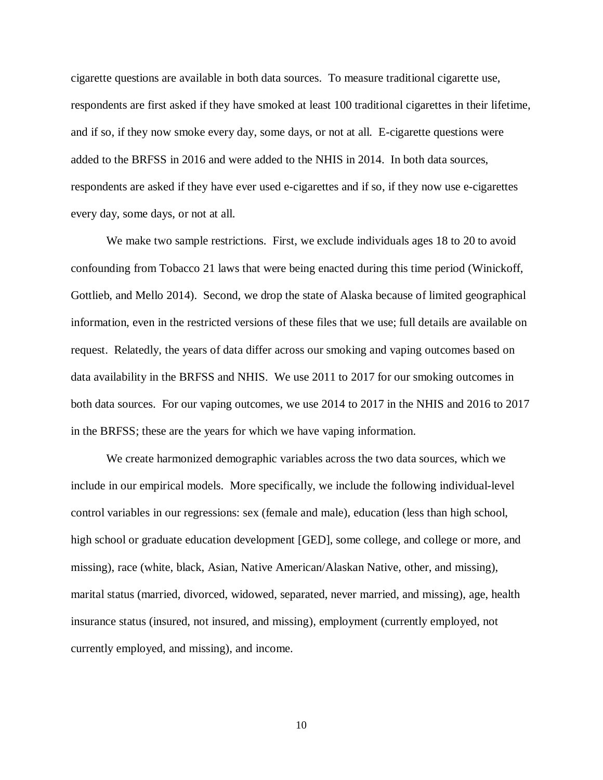cigarette questions are available in both data sources. To measure traditional cigarette use, respondents are first asked if they have smoked at least 100 traditional cigarettes in their lifetime, and if so, if they now smoke every day, some days, or not at all. E-cigarette questions were added to the BRFSS in 2016 and were added to the NHIS in 2014. In both data sources, respondents are asked if they have ever used e-cigarettes and if so, if they now use e-cigarettes every day, some days, or not at all.

We make two sample restrictions. First, we exclude individuals ages 18 to 20 to avoid confounding from Tobacco 21 laws that were being enacted during this time period (Winickoff, Gottlieb, and Mello 2014). Second, we drop the state of Alaska because of limited geographical information, even in the restricted versions of these files that we use; full details are available on request. Relatedly, the years of data differ across our smoking and vaping outcomes based on data availability in the BRFSS and NHIS. We use 2011 to 2017 for our smoking outcomes in both data sources. For our vaping outcomes, we use 2014 to 2017 in the NHIS and 2016 to 2017 in the BRFSS; these are the years for which we have vaping information.

We create harmonized demographic variables across the two data sources, which we include in our empirical models. More specifically, we include the following individual-level control variables in our regressions: sex (female and male), education (less than high school, high school or graduate education development [GED], some college, and college or more, and missing), race (white, black, Asian, Native American/Alaskan Native, other, and missing), marital status (married, divorced, widowed, separated, never married, and missing), age, health insurance status (insured, not insured, and missing), employment (currently employed, not currently employed, and missing), and income.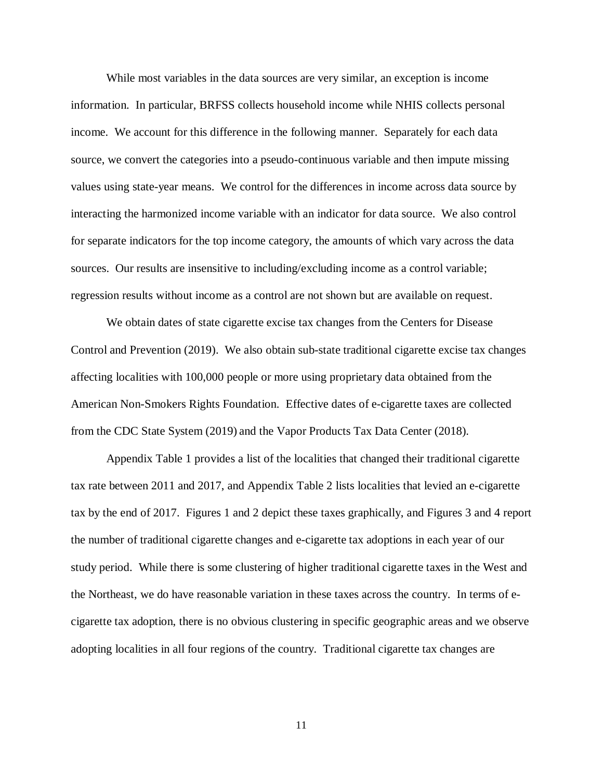While most variables in the data sources are very similar, an exception is income information. In particular, BRFSS collects household income while NHIS collects personal income. We account for this difference in the following manner. Separately for each data source, we convert the categories into a pseudo-continuous variable and then impute missing values using state-year means. We control for the differences in income across data source by interacting the harmonized income variable with an indicator for data source. We also control for separate indicators for the top income category, the amounts of which vary across the data sources. Our results are insensitive to including/excluding income as a control variable; regression results without income as a control are not shown but are available on request.

We obtain dates of state cigarette excise tax changes from the Centers for Disease Control and Prevention (2019). We also obtain sub-state traditional cigarette excise tax changes affecting localities with 100,000 people or more using proprietary data obtained from the American Non-Smokers Rights Foundation. Effective dates of e-cigarette taxes are collected from the CDC State System (2019) and the Vapor Products Tax Data Center (2018).

Appendix Table 1 provides a list of the localities that changed their traditional cigarette tax rate between 2011 and 2017, and Appendix Table 2 lists localities that levied an e-cigarette tax by the end of 2017. Figures 1 and 2 depict these taxes graphically, and Figures 3 and 4 report the number of traditional cigarette changes and e-cigarette tax adoptions in each year of our study period. While there is some clustering of higher traditional cigarette taxes in the West and the Northeast, we do have reasonable variation in these taxes across the country. In terms of ecigarette tax adoption, there is no obvious clustering in specific geographic areas and we observe adopting localities in all four regions of the country. Traditional cigarette tax changes are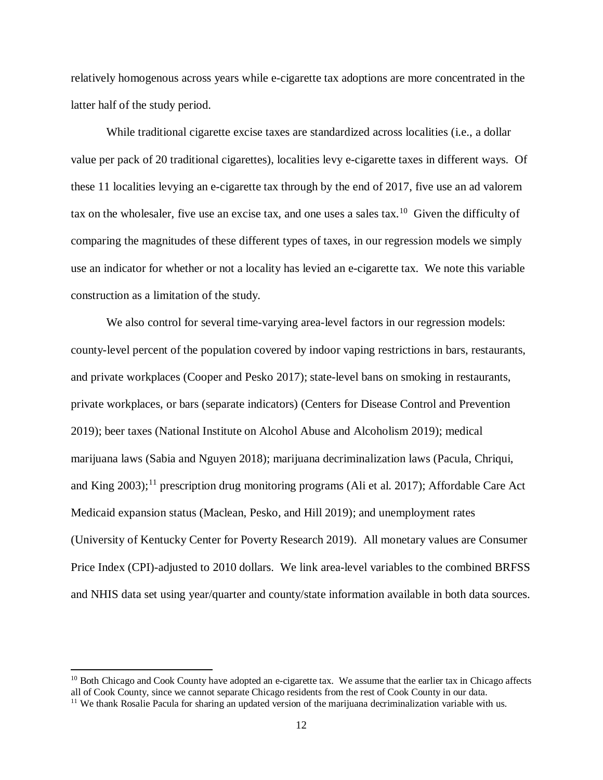relatively homogenous across years while e-cigarette tax adoptions are more concentrated in the latter half of the study period.

While traditional cigarette excise taxes are standardized across localities (i.e., a dollar value per pack of 20 traditional cigarettes), localities levy e-cigarette taxes in different ways. Of these 11 localities levying an e-cigarette tax through by the end of 2017, five use an ad valorem tax on the wholesaler, five use an excise tax, and one uses a sales tax.<sup>[10](#page-12-0)</sup> Given the difficulty of comparing the magnitudes of these different types of taxes, in our regression models we simply use an indicator for whether or not a locality has levied an e-cigarette tax. We note this variable construction as a limitation of the study.

We also control for several time-varying area-level factors in our regression models: county-level percent of the population covered by indoor vaping restrictions in bars, restaurants, and private workplaces (Cooper and Pesko 2017); state-level bans on smoking in restaurants, private workplaces, or bars (separate indicators) (Centers for Disease Control and Prevention 2019); beer taxes (National Institute on Alcohol Abuse and Alcoholism 2019); medical marijuana laws (Sabia and Nguyen 2018); marijuana decriminalization laws (Pacula, Chriqui, and King 2003);<sup>[11](#page-12-1)</sup> prescription drug monitoring programs (Ali et al. 2017); Affordable Care Act Medicaid expansion status (Maclean, Pesko, and Hill 2019); and unemployment rates (University of Kentucky Center for Poverty Research 2019). All monetary values are Consumer Price Index (CPI)-adjusted to 2010 dollars. We link area-level variables to the combined BRFSS and NHIS data set using year/quarter and county/state information available in both data sources.

 $\overline{a}$ 

<span id="page-12-0"></span><sup>&</sup>lt;sup>10</sup> Both Chicago and Cook County have adopted an e-cigarette tax. We assume that the earlier tax in Chicago affects all of Cook County, since we cannot separate Chicago residents from the rest of Cook County in our data.

<span id="page-12-1"></span><sup>&</sup>lt;sup>11</sup> We thank Rosalie Pacula for sharing an updated version of the marijuana decriminalization variable with us.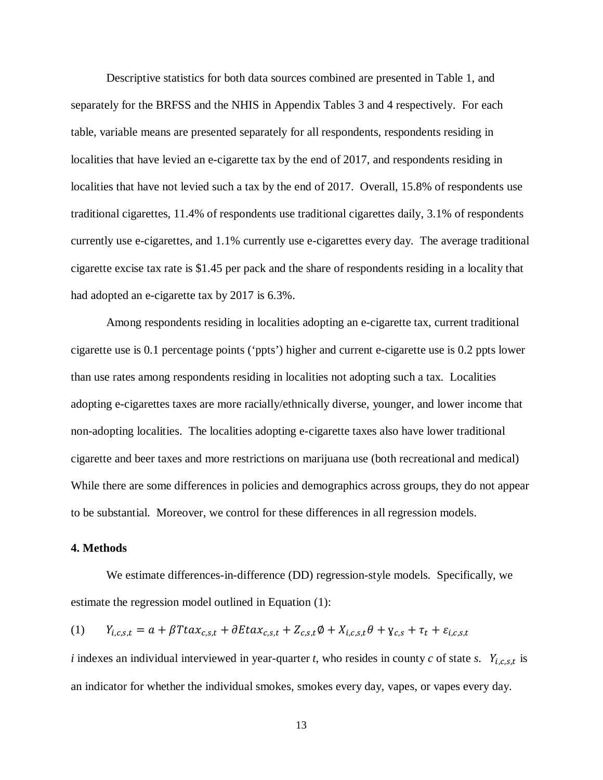Descriptive statistics for both data sources combined are presented in Table 1, and separately for the BRFSS and the NHIS in Appendix Tables 3 and 4 respectively. For each table, variable means are presented separately for all respondents, respondents residing in localities that have levied an e-cigarette tax by the end of 2017, and respondents residing in localities that have not levied such a tax by the end of 2017. Overall, 15.8% of respondents use traditional cigarettes, 11.4% of respondents use traditional cigarettes daily, 3.1% of respondents currently use e-cigarettes, and 1.1% currently use e-cigarettes every day. The average traditional cigarette excise tax rate is \$1.45 per pack and the share of respondents residing in a locality that had adopted an e-cigarette tax by 2017 is 6.3%.

Among respondents residing in localities adopting an e-cigarette tax, current traditional cigarette use is 0.1 percentage points ('ppts') higher and current e-cigarette use is 0.2 ppts lower than use rates among respondents residing in localities not adopting such a tax. Localities adopting e-cigarettes taxes are more racially/ethnically diverse, younger, and lower income that non-adopting localities. The localities adopting e-cigarette taxes also have lower traditional cigarette and beer taxes and more restrictions on marijuana use (both recreational and medical) While there are some differences in policies and demographics across groups, they do not appear to be substantial. Moreover, we control for these differences in all regression models.

#### **4. Methods**

We estimate differences-in-difference (DD) regression-style models. Specifically, we estimate the regression model outlined in Equation (1):

$$
(1) \qquad Y_{i,c,s,t} = a + \beta T t a x_{c,s,t} + \partial E t a x_{c,s,t} + Z_{c,s,t} \phi + X_{i,c,s,t} \theta + Y_{c,s} + \tau_t + \varepsilon_{i,c,s,t}
$$

*i* indexes an individual interviewed in year-quarter *t*, who resides in county *c* of state *s*.  $Y_{i,c,s,t}$  is an indicator for whether the individual smokes, smokes every day, vapes, or vapes every day.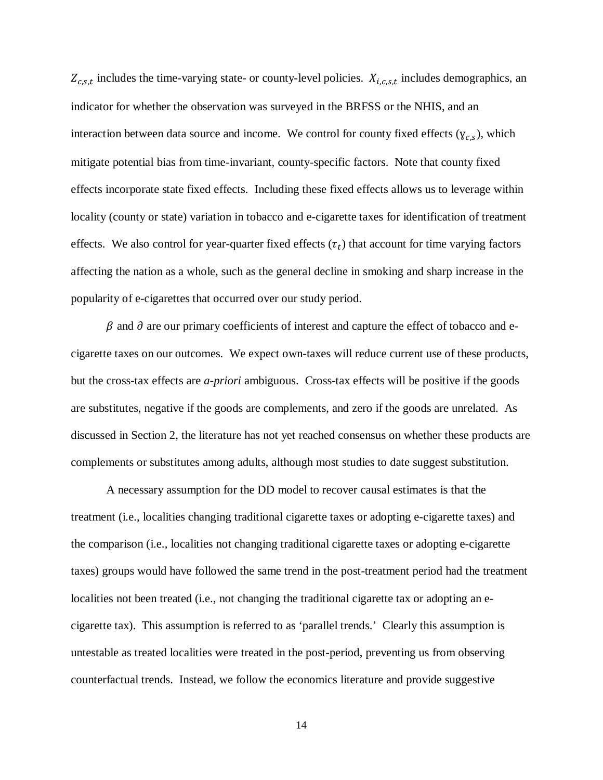$Z_{c,s,t}$  includes the time-varying state- or county-level policies.  $X_{i,c,s,t}$  includes demographics, an indicator for whether the observation was surveyed in the BRFSS or the NHIS, and an interaction between data source and income. We control for county fixed effects ( $y_{c,s}$ ), which mitigate potential bias from time-invariant, county-specific factors. Note that county fixed effects incorporate state fixed effects. Including these fixed effects allows us to leverage within locality (county or state) variation in tobacco and e-cigarette taxes for identification of treatment effects. We also control for year-quarter fixed effects  $(\tau_t)$  that account for time varying factors affecting the nation as a whole, such as the general decline in smoking and sharp increase in the popularity of e-cigarettes that occurred over our study period.

 $\beta$  and  $\partial$  are our primary coefficients of interest and capture the effect of tobacco and ecigarette taxes on our outcomes. We expect own-taxes will reduce current use of these products, but the cross-tax effects are *a-priori* ambiguous. Cross-tax effects will be positive if the goods are substitutes, negative if the goods are complements, and zero if the goods are unrelated. As discussed in Section 2, the literature has not yet reached consensus on whether these products are complements or substitutes among adults, although most studies to date suggest substitution.

A necessary assumption for the DD model to recover causal estimates is that the treatment (i.e., localities changing traditional cigarette taxes or adopting e-cigarette taxes) and the comparison (i.e., localities not changing traditional cigarette taxes or adopting e-cigarette taxes) groups would have followed the same trend in the post-treatment period had the treatment localities not been treated (i.e., not changing the traditional cigarette tax or adopting an ecigarette tax). This assumption is referred to as 'parallel trends.' Clearly this assumption is untestable as treated localities were treated in the post-period, preventing us from observing counterfactual trends. Instead, we follow the economics literature and provide suggestive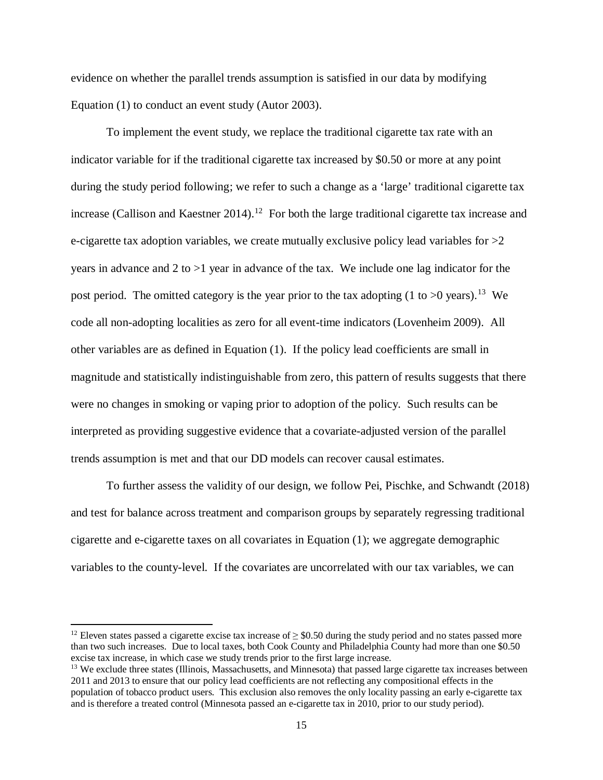evidence on whether the parallel trends assumption is satisfied in our data by modifying Equation (1) to conduct an event study (Autor 2003).

To implement the event study, we replace the traditional cigarette tax rate with an indicator variable for if the traditional cigarette tax increased by \$0.50 or more at any point during the study period following; we refer to such a change as a 'large' traditional cigarette tax increase (Callison and Kaestner 2014).<sup>12</sup> For both the large traditional cigarette tax increase and e-cigarette tax adoption variables, we create mutually exclusive policy lead variables for  $>2$ years in advance and 2 to  $>1$  year in advance of the tax. We include one lag indicator for the post period. The omitted category is the year prior to the tax adopting  $(1 \text{ to } 0 \text{ years})$ .<sup>[13](#page-15-1)</sup> We code all non-adopting localities as zero for all event-time indicators (Lovenheim 2009). All other variables are as defined in Equation (1). If the policy lead coefficients are small in magnitude and statistically indistinguishable from zero, this pattern of results suggests that there were no changes in smoking or vaping prior to adoption of the policy. Such results can be interpreted as providing suggestive evidence that a covariate-adjusted version of the parallel trends assumption is met and that our DD models can recover causal estimates.

To further assess the validity of our design, we follow Pei, Pischke, and Schwandt (2018) and test for balance across treatment and comparison groups by separately regressing traditional cigarette and e-cigarette taxes on all covariates in Equation (1); we aggregate demographic variables to the county-level. If the covariates are uncorrelated with our tax variables, we can

 $\overline{\phantom{a}}$ 

<span id="page-15-0"></span><sup>&</sup>lt;sup>12</sup> Eleven states passed a cigarette excise tax increase of  $\geq$  \$0.50 during the study period and no states passed more than two such increases. Due to local taxes, both Cook County and Philadelphia County had more than one \$0.50 excise tax increase, in which case we study trends prior to the first large increase.

<span id="page-15-1"></span><sup>&</sup>lt;sup>13</sup> We exclude three states (Illinois, Massachusetts, and Minnesota) that passed large cigarette tax increases between 2011 and 2013 to ensure that our policy lead coefficients are not reflecting any compositional effects in the population of tobacco product users. This exclusion also removes the only locality passing an early e-cigarette tax and is therefore a treated control (Minnesota passed an e-cigarette tax in 2010, prior to our study period).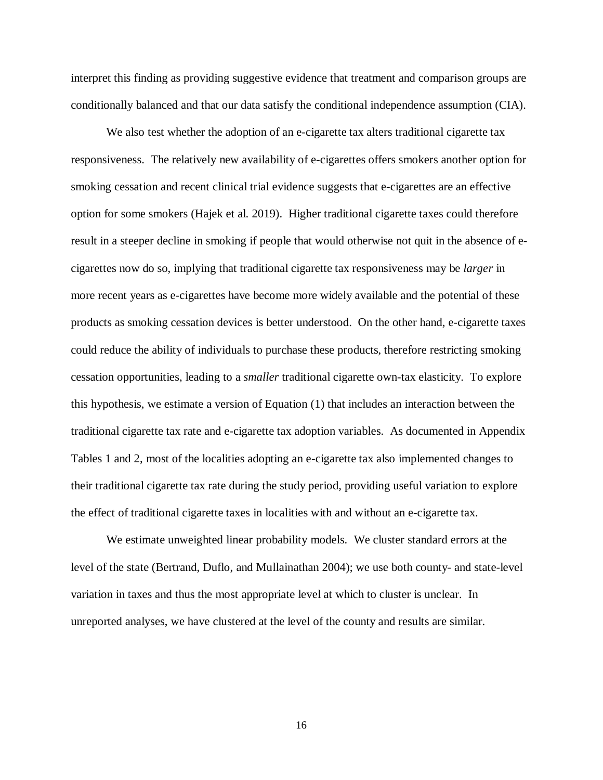interpret this finding as providing suggestive evidence that treatment and comparison groups are conditionally balanced and that our data satisfy the conditional independence assumption (CIA).

We also test whether the adoption of an e-cigarette tax alters traditional cigarette tax responsiveness. The relatively new availability of e-cigarettes offers smokers another option for smoking cessation and recent clinical trial evidence suggests that e-cigarettes are an effective option for some smokers (Hajek et al. 2019). Higher traditional cigarette taxes could therefore result in a steeper decline in smoking if people that would otherwise not quit in the absence of ecigarettes now do so, implying that traditional cigarette tax responsiveness may be *larger* in more recent years as e-cigarettes have become more widely available and the potential of these products as smoking cessation devices is better understood. On the other hand, e-cigarette taxes could reduce the ability of individuals to purchase these products, therefore restricting smoking cessation opportunities, leading to a *smaller* traditional cigarette own-tax elasticity. To explore this hypothesis, we estimate a version of Equation (1) that includes an interaction between the traditional cigarette tax rate and e-cigarette tax adoption variables. As documented in Appendix Tables 1 and 2, most of the localities adopting an e-cigarette tax also implemented changes to their traditional cigarette tax rate during the study period, providing useful variation to explore the effect of traditional cigarette taxes in localities with and without an e-cigarette tax.

We estimate unweighted linear probability models. We cluster standard errors at the level of the state (Bertrand, Duflo, and Mullainathan 2004); we use both county- and state-level variation in taxes and thus the most appropriate level at which to cluster is unclear. In unreported analyses, we have clustered at the level of the county and results are similar.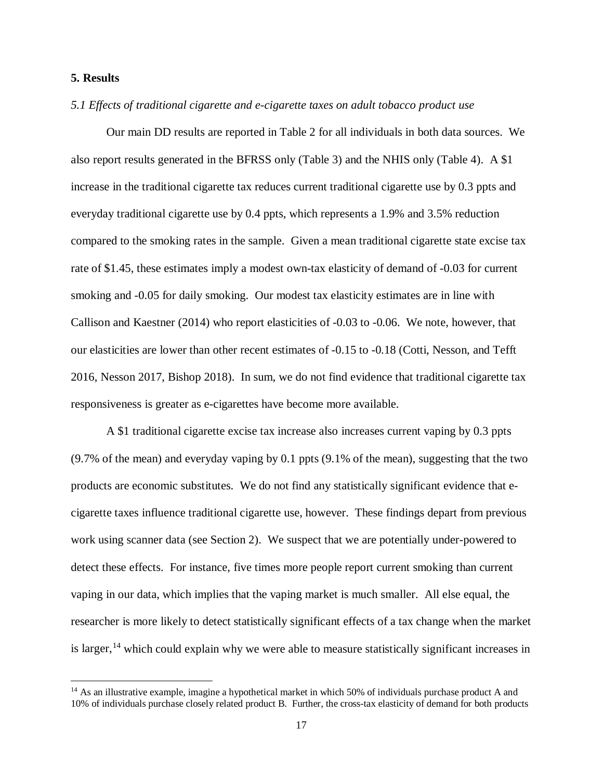# **5. Results**

 $\overline{\phantom{a}}$ 

#### *5.1 Effects of traditional cigarette and e-cigarette taxes on adult tobacco product use*

Our main DD results are reported in Table 2 for all individuals in both data sources. We also report results generated in the BFRSS only (Table 3) and the NHIS only (Table 4). A \$1 increase in the traditional cigarette tax reduces current traditional cigarette use by 0.3 ppts and everyday traditional cigarette use by 0.4 ppts, which represents a 1.9% and 3.5% reduction compared to the smoking rates in the sample. Given a mean traditional cigarette state excise tax rate of \$1.45, these estimates imply a modest own-tax elasticity of demand of -0.03 for current smoking and -0.05 for daily smoking. Our modest tax elasticity estimates are in line with Callison and Kaestner (2014) who report elasticities of -0.03 to -0.06. We note, however, that our elasticities are lower than other recent estimates of -0.15 to -0.18 (Cotti, Nesson, and Tefft 2016, Nesson 2017, Bishop 2018). In sum, we do not find evidence that traditional cigarette tax responsiveness is greater as e-cigarettes have become more available.

A \$1 traditional cigarette excise tax increase also increases current vaping by 0.3 ppts (9.7% of the mean) and everyday vaping by 0.1 ppts (9.1% of the mean), suggesting that the two products are economic substitutes. We do not find any statistically significant evidence that ecigarette taxes influence traditional cigarette use, however. These findings depart from previous work using scanner data (see Section 2). We suspect that we are potentially under-powered to detect these effects. For instance, five times more people report current smoking than current vaping in our data, which implies that the vaping market is much smaller. All else equal, the researcher is more likely to detect statistically significant effects of a tax change when the market is larger,<sup>[14](#page-17-0)</sup> which could explain why we were able to measure statistically significant increases in

<span id="page-17-0"></span> $14$  As an illustrative example, imagine a hypothetical market in which 50% of individuals purchase product A and 10% of individuals purchase closely related product B. Further, the cross-tax elasticity of demand for both products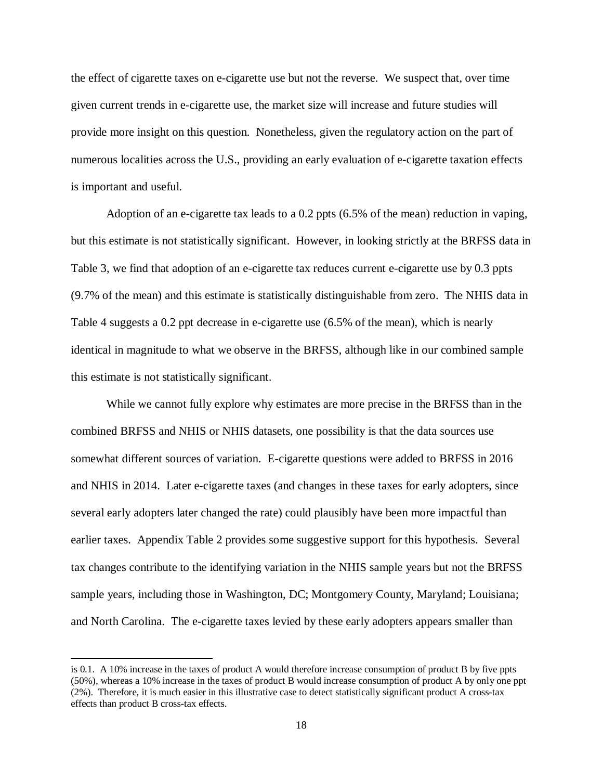the effect of cigarette taxes on e-cigarette use but not the reverse. We suspect that, over time given current trends in e-cigarette use, the market size will increase and future studies will provide more insight on this question. Nonetheless, given the regulatory action on the part of numerous localities across the U.S., providing an early evaluation of e-cigarette taxation effects is important and useful.

Adoption of an e-cigarette tax leads to a 0.2 ppts (6.5% of the mean) reduction in vaping, but this estimate is not statistically significant. However, in looking strictly at the BRFSS data in Table 3, we find that adoption of an e-cigarette tax reduces current e-cigarette use by 0.3 ppts (9.7% of the mean) and this estimate is statistically distinguishable from zero. The NHIS data in Table 4 suggests a 0.2 ppt decrease in e-cigarette use (6.5% of the mean), which is nearly identical in magnitude to what we observe in the BRFSS, although like in our combined sample this estimate is not statistically significant.

While we cannot fully explore why estimates are more precise in the BRFSS than in the combined BRFSS and NHIS or NHIS datasets, one possibility is that the data sources use somewhat different sources of variation. E-cigarette questions were added to BRFSS in 2016 and NHIS in 2014. Later e-cigarette taxes (and changes in these taxes for early adopters, since several early adopters later changed the rate) could plausibly have been more impactful than earlier taxes. Appendix Table 2 provides some suggestive support for this hypothesis. Several tax changes contribute to the identifying variation in the NHIS sample years but not the BRFSS sample years, including those in Washington, DC; Montgomery County, Maryland; Louisiana; and North Carolina. The e-cigarette taxes levied by these early adopters appears smaller than

l

is 0.1. A 10% increase in the taxes of product A would therefore increase consumption of product B by five ppts (50%), whereas a 10% increase in the taxes of product B would increase consumption of product A by only one ppt (2%). Therefore, it is much easier in this illustrative case to detect statistically significant product A cross-tax effects than product B cross-tax effects.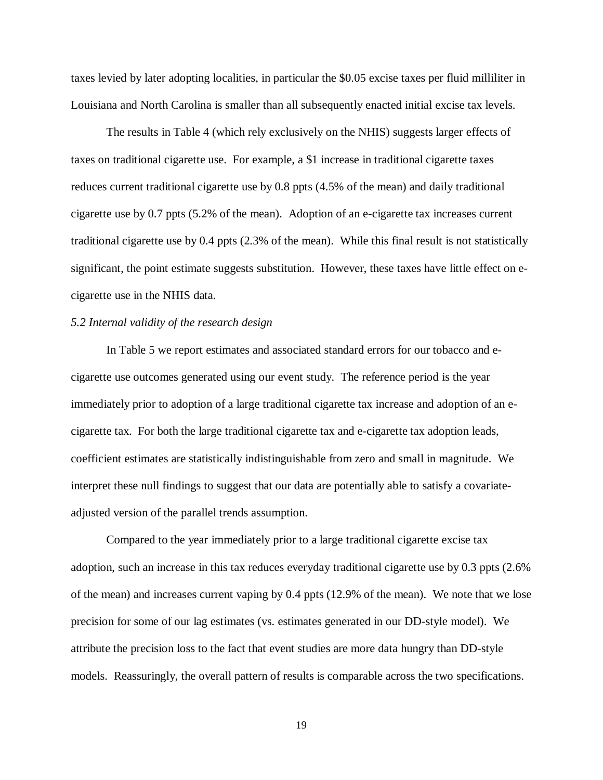taxes levied by later adopting localities, in particular the \$0.05 excise taxes per fluid milliliter in Louisiana and North Carolina is smaller than all subsequently enacted initial excise tax levels.

The results in Table 4 (which rely exclusively on the NHIS) suggests larger effects of taxes on traditional cigarette use. For example, a \$1 increase in traditional cigarette taxes reduces current traditional cigarette use by 0.8 ppts (4.5% of the mean) and daily traditional cigarette use by 0.7 ppts (5.2% of the mean). Adoption of an e-cigarette tax increases current traditional cigarette use by 0.4 ppts (2.3% of the mean). While this final result is not statistically significant, the point estimate suggests substitution. However, these taxes have little effect on ecigarette use in the NHIS data.

#### *5.2 Internal validity of the research design*

In Table 5 we report estimates and associated standard errors for our tobacco and ecigarette use outcomes generated using our event study. The reference period is the year immediately prior to adoption of a large traditional cigarette tax increase and adoption of an ecigarette tax. For both the large traditional cigarette tax and e-cigarette tax adoption leads, coefficient estimates are statistically indistinguishable from zero and small in magnitude. We interpret these null findings to suggest that our data are potentially able to satisfy a covariateadjusted version of the parallel trends assumption.

Compared to the year immediately prior to a large traditional cigarette excise tax adoption, such an increase in this tax reduces everyday traditional cigarette use by 0.3 ppts (2.6% of the mean) and increases current vaping by 0.4 ppts (12.9% of the mean). We note that we lose precision for some of our lag estimates (vs. estimates generated in our DD-style model). We attribute the precision loss to the fact that event studies are more data hungry than DD-style models. Reassuringly, the overall pattern of results is comparable across the two specifications.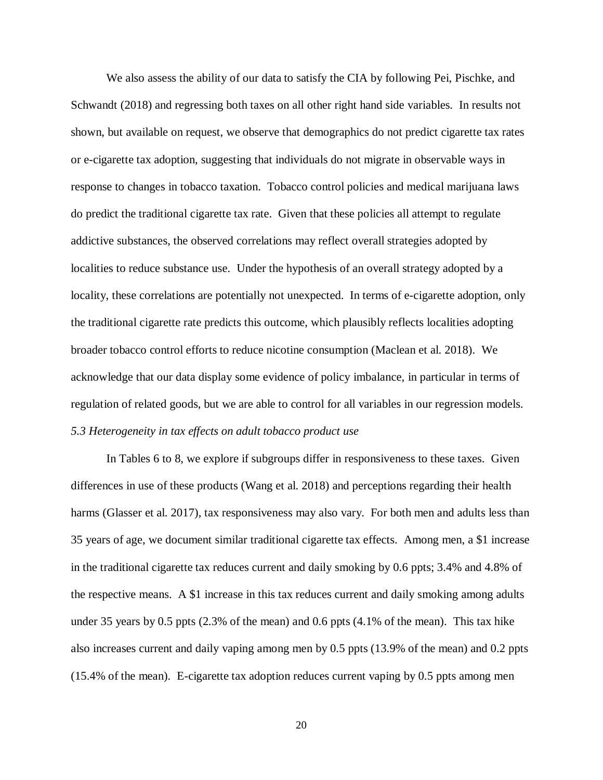We also assess the ability of our data to satisfy the CIA by following Pei, Pischke, and Schwandt (2018) and regressing both taxes on all other right hand side variables. In results not shown, but available on request, we observe that demographics do not predict cigarette tax rates or e-cigarette tax adoption, suggesting that individuals do not migrate in observable ways in response to changes in tobacco taxation. Tobacco control policies and medical marijuana laws do predict the traditional cigarette tax rate. Given that these policies all attempt to regulate addictive substances, the observed correlations may reflect overall strategies adopted by localities to reduce substance use. Under the hypothesis of an overall strategy adopted by a locality, these correlations are potentially not unexpected. In terms of e-cigarette adoption, only the traditional cigarette rate predicts this outcome, which plausibly reflects localities adopting broader tobacco control efforts to reduce nicotine consumption (Maclean et al. 2018). We acknowledge that our data display some evidence of policy imbalance, in particular in terms of regulation of related goods, but we are able to control for all variables in our regression models. *5.3 Heterogeneity in tax effects on adult tobacco product use*

In Tables 6 to 8, we explore if subgroups differ in responsiveness to these taxes. Given differences in use of these products (Wang et al. 2018) and perceptions regarding their health harms (Glasser et al. 2017), tax responsiveness may also vary. For both men and adults less than 35 years of age, we document similar traditional cigarette tax effects. Among men, a \$1 increase in the traditional cigarette tax reduces current and daily smoking by 0.6 ppts; 3.4% and 4.8% of the respective means. A \$1 increase in this tax reduces current and daily smoking among adults under 35 years by 0.5 ppts (2.3% of the mean) and 0.6 ppts (4.1% of the mean). This tax hike also increases current and daily vaping among men by 0.5 ppts (13.9% of the mean) and 0.2 ppts (15.4% of the mean). E-cigarette tax adoption reduces current vaping by 0.5 ppts among men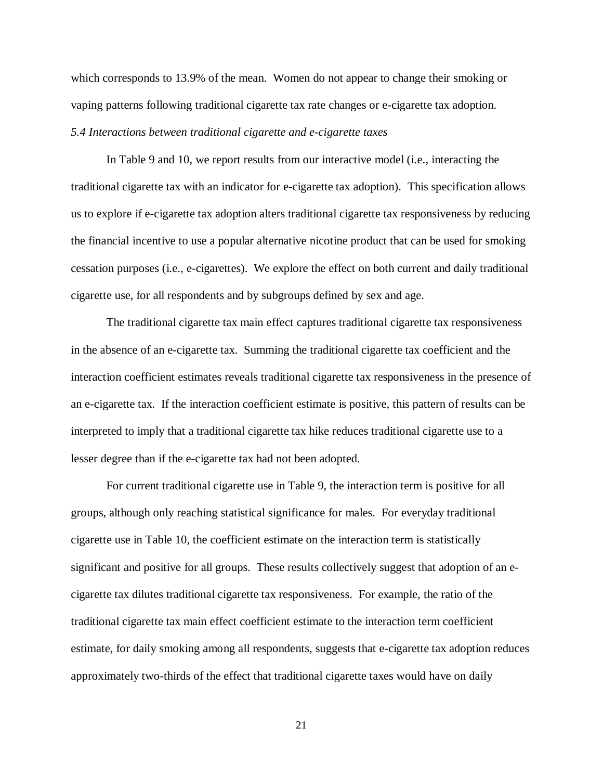which corresponds to 13.9% of the mean. Women do not appear to change their smoking or vaping patterns following traditional cigarette tax rate changes or e-cigarette tax adoption. *5.4 Interactions between traditional cigarette and e-cigarette taxes*

In Table 9 and 10, we report results from our interactive model (i.e., interacting the traditional cigarette tax with an indicator for e-cigarette tax adoption). This specification allows us to explore if e-cigarette tax adoption alters traditional cigarette tax responsiveness by reducing the financial incentive to use a popular alternative nicotine product that can be used for smoking cessation purposes (i.e., e-cigarettes). We explore the effect on both current and daily traditional cigarette use, for all respondents and by subgroups defined by sex and age.

The traditional cigarette tax main effect captures traditional cigarette tax responsiveness in the absence of an e-cigarette tax. Summing the traditional cigarette tax coefficient and the interaction coefficient estimates reveals traditional cigarette tax responsiveness in the presence of an e-cigarette tax. If the interaction coefficient estimate is positive, this pattern of results can be interpreted to imply that a traditional cigarette tax hike reduces traditional cigarette use to a lesser degree than if the e-cigarette tax had not been adopted.

For current traditional cigarette use in Table 9, the interaction term is positive for all groups, although only reaching statistical significance for males. For everyday traditional cigarette use in Table 10, the coefficient estimate on the interaction term is statistically significant and positive for all groups. These results collectively suggest that adoption of an ecigarette tax dilutes traditional cigarette tax responsiveness. For example, the ratio of the traditional cigarette tax main effect coefficient estimate to the interaction term coefficient estimate, for daily smoking among all respondents, suggests that e-cigarette tax adoption reduces approximately two-thirds of the effect that traditional cigarette taxes would have on daily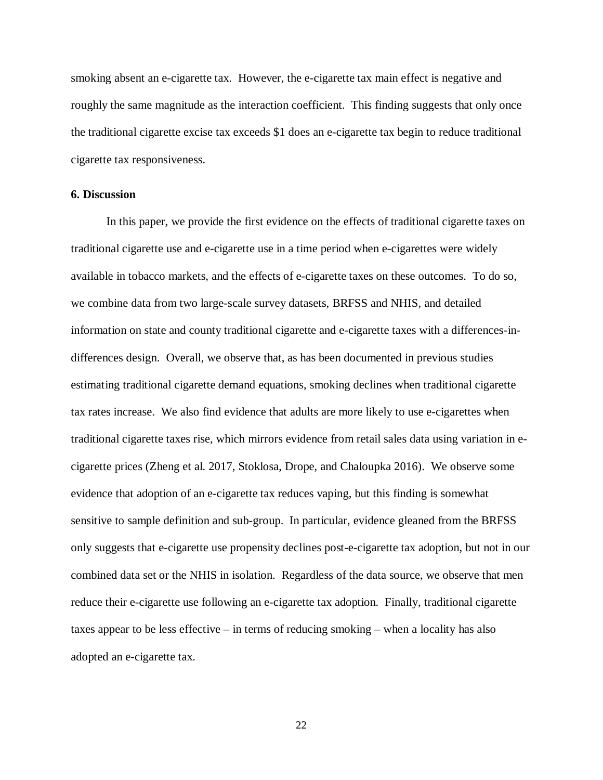smoking absent an e-cigarette tax. However, the e-cigarette tax main effect is negative and roughly the same magnitude as the interaction coefficient. This finding suggests that only once the traditional cigarette excise tax exceeds \$1 does an e-cigarette tax begin to reduce traditional cigarette tax responsiveness.

#### **6. Discussion**

In this paper, we provide the first evidence on the effects of traditional cigarette taxes on traditional cigarette use and e-cigarette use in a time period when e-cigarettes were widely available in tobacco markets, and the effects of e-cigarette taxes on these outcomes. To do so, we combine data from two large-scale survey datasets, BRFSS and NHIS, and detailed information on state and county traditional cigarette and e-cigarette taxes with a differences-indifferences design. Overall, we observe that, as has been documented in previous studies estimating traditional cigarette demand equations, smoking declines when traditional cigarette tax rates increase. We also find evidence that adults are more likely to use e-cigarettes when traditional cigarette taxes rise, which mirrors evidence from retail sales data using variation in ecigarette prices (Zheng et al. 2017, Stoklosa, Drope, and Chaloupka 2016). We observe some evidence that adoption of an e-cigarette tax reduces vaping, but this finding is somewhat sensitive to sample definition and sub-group. In particular, evidence gleaned from the BRFSS only suggests that e-cigarette use propensity declines post-e-cigarette tax adoption, but not in our combined data set or the NHIS in isolation. Regardless of the data source, we observe that men reduce their e-cigarette use following an e-cigarette tax adoption. Finally, traditional cigarette taxes appear to be less effective – in terms of reducing smoking – when a locality has also adopted an e-cigarette tax.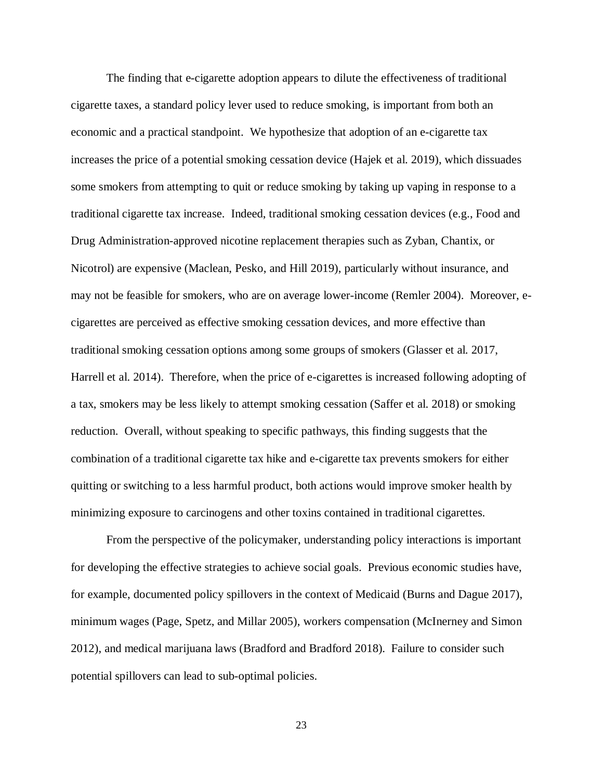The finding that e-cigarette adoption appears to dilute the effectiveness of traditional cigarette taxes, a standard policy lever used to reduce smoking, is important from both an economic and a practical standpoint. We hypothesize that adoption of an e-cigarette tax increases the price of a potential smoking cessation device (Hajek et al. 2019), which dissuades some smokers from attempting to quit or reduce smoking by taking up vaping in response to a traditional cigarette tax increase. Indeed, traditional smoking cessation devices (e.g., Food and Drug Administration-approved nicotine replacement therapies such as Zyban, Chantix, or Nicotrol) are expensive (Maclean, Pesko, and Hill 2019), particularly without insurance, and may not be feasible for smokers, who are on average lower-income (Remler 2004). Moreover, ecigarettes are perceived as effective smoking cessation devices, and more effective than traditional smoking cessation options among some groups of smokers (Glasser et al. 2017, Harrell et al. 2014). Therefore, when the price of e-cigarettes is increased following adopting of a tax, smokers may be less likely to attempt smoking cessation (Saffer et al. 2018) or smoking reduction. Overall, without speaking to specific pathways, this finding suggests that the combination of a traditional cigarette tax hike and e-cigarette tax prevents smokers for either quitting or switching to a less harmful product, both actions would improve smoker health by minimizing exposure to carcinogens and other toxins contained in traditional cigarettes.

From the perspective of the policymaker, understanding policy interactions is important for developing the effective strategies to achieve social goals. Previous economic studies have, for example, documented policy spillovers in the context of Medicaid (Burns and Dague 2017), minimum wages (Page, Spetz, and Millar 2005), workers compensation (McInerney and Simon 2012), and medical marijuana laws (Bradford and Bradford 2018). Failure to consider such potential spillovers can lead to sub-optimal policies.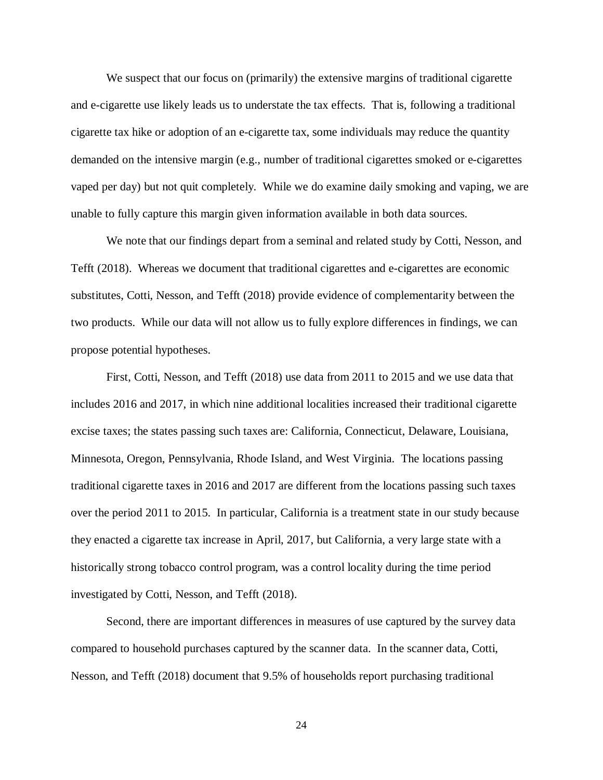We suspect that our focus on (primarily) the extensive margins of traditional cigarette and e-cigarette use likely leads us to understate the tax effects. That is, following a traditional cigarette tax hike or adoption of an e-cigarette tax, some individuals may reduce the quantity demanded on the intensive margin (e.g., number of traditional cigarettes smoked or e-cigarettes vaped per day) but not quit completely. While we do examine daily smoking and vaping, we are unable to fully capture this margin given information available in both data sources.

We note that our findings depart from a seminal and related study by Cotti, Nesson, and Tefft (2018). Whereas we document that traditional cigarettes and e-cigarettes are economic substitutes, Cotti, Nesson, and Tefft (2018) provide evidence of complementarity between the two products. While our data will not allow us to fully explore differences in findings, we can propose potential hypotheses.

First, Cotti, Nesson, and Tefft (2018) use data from 2011 to 2015 and we use data that includes 2016 and 2017, in which nine additional localities increased their traditional cigarette excise taxes; the states passing such taxes are: California, Connecticut, Delaware, Louisiana, Minnesota, Oregon, Pennsylvania, Rhode Island, and West Virginia. The locations passing traditional cigarette taxes in 2016 and 2017 are different from the locations passing such taxes over the period 2011 to 2015. In particular, California is a treatment state in our study because they enacted a cigarette tax increase in April, 2017, but California, a very large state with a historically strong tobacco control program, was a control locality during the time period investigated by Cotti, Nesson, and Tefft (2018).

Second, there are important differences in measures of use captured by the survey data compared to household purchases captured by the scanner data. In the scanner data, Cotti, Nesson, and Tefft (2018) document that 9.5% of households report purchasing traditional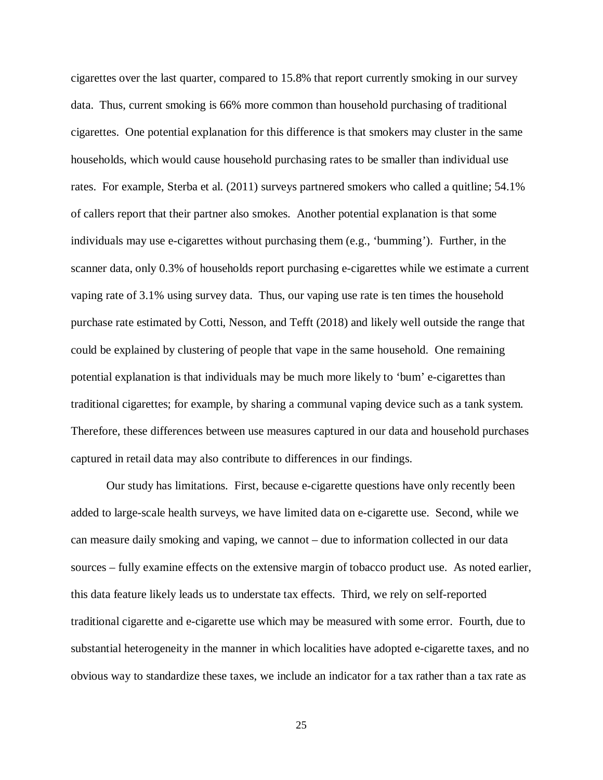cigarettes over the last quarter, compared to 15.8% that report currently smoking in our survey data. Thus, current smoking is 66% more common than household purchasing of traditional cigarettes. One potential explanation for this difference is that smokers may cluster in the same households, which would cause household purchasing rates to be smaller than individual use rates. For example, Sterba et al. (2011) surveys partnered smokers who called a quitline; 54.1% of callers report that their partner also smokes. Another potential explanation is that some individuals may use e-cigarettes without purchasing them (e.g., 'bumming'). Further, in the scanner data, only 0.3% of households report purchasing e-cigarettes while we estimate a current vaping rate of 3.1% using survey data. Thus, our vaping use rate is ten times the household purchase rate estimated by Cotti, Nesson, and Tefft (2018) and likely well outside the range that could be explained by clustering of people that vape in the same household. One remaining potential explanation is that individuals may be much more likely to 'bum' e-cigarettes than traditional cigarettes; for example, by sharing a communal vaping device such as a tank system. Therefore, these differences between use measures captured in our data and household purchases captured in retail data may also contribute to differences in our findings.

Our study has limitations. First, because e-cigarette questions have only recently been added to large-scale health surveys, we have limited data on e-cigarette use. Second, while we can measure daily smoking and vaping, we cannot – due to information collected in our data sources – fully examine effects on the extensive margin of tobacco product use. As noted earlier, this data feature likely leads us to understate tax effects. Third, we rely on self-reported traditional cigarette and e-cigarette use which may be measured with some error. Fourth, due to substantial heterogeneity in the manner in which localities have adopted e-cigarette taxes, and no obvious way to standardize these taxes, we include an indicator for a tax rather than a tax rate as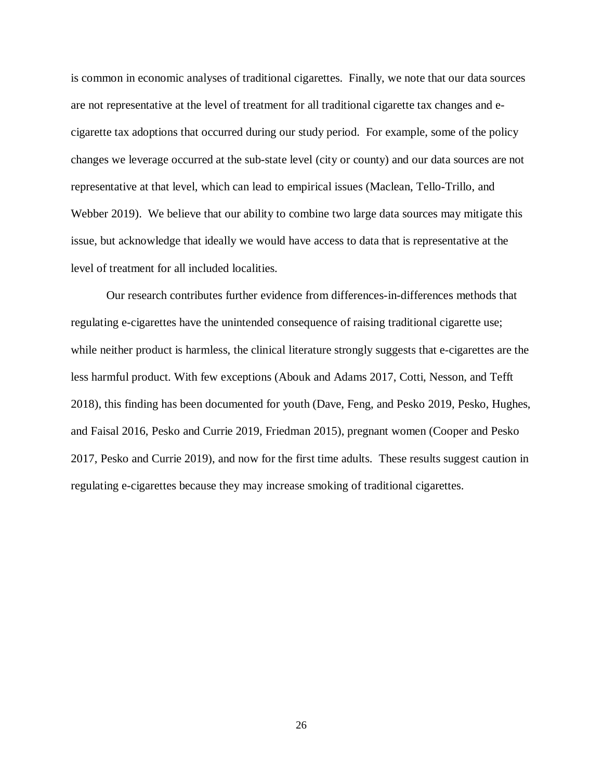is common in economic analyses of traditional cigarettes. Finally, we note that our data sources are not representative at the level of treatment for all traditional cigarette tax changes and ecigarette tax adoptions that occurred during our study period. For example, some of the policy changes we leverage occurred at the sub-state level (city or county) and our data sources are not representative at that level, which can lead to empirical issues (Maclean, Tello-Trillo, and Webber 2019). We believe that our ability to combine two large data sources may mitigate this issue, but acknowledge that ideally we would have access to data that is representative at the level of treatment for all included localities.

Our research contributes further evidence from differences-in-differences methods that regulating e-cigarettes have the unintended consequence of raising traditional cigarette use; while neither product is harmless, the clinical literature strongly suggests that e-cigarettes are the less harmful product. With few exceptions (Abouk and Adams 2017, Cotti, Nesson, and Tefft 2018), this finding has been documented for youth (Dave, Feng, and Pesko 2019, Pesko, Hughes, and Faisal 2016, Pesko and Currie 2019, Friedman 2015), pregnant women (Cooper and Pesko 2017, Pesko and Currie 2019), and now for the first time adults. These results suggest caution in regulating e-cigarettes because they may increase smoking of traditional cigarettes.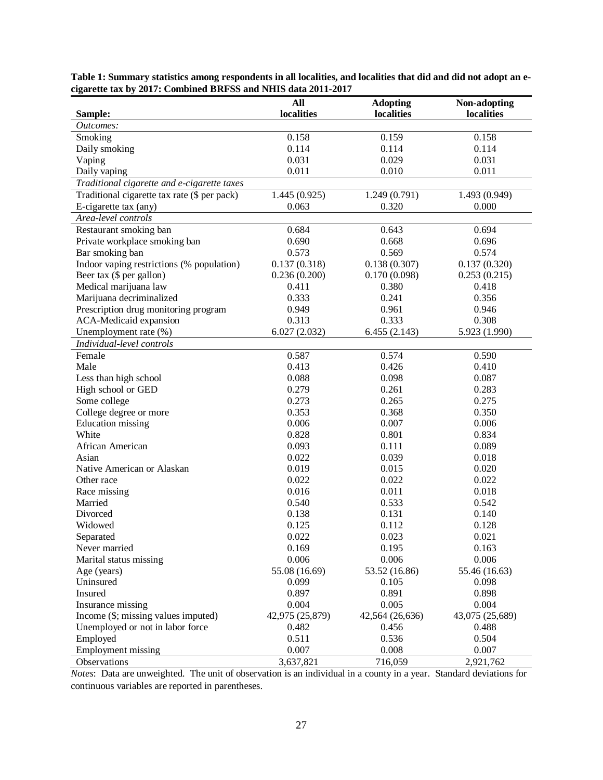| Sample:                                      | All<br>localities | <b>Adopting</b><br>localities | Non-adopting<br>localities |
|----------------------------------------------|-------------------|-------------------------------|----------------------------|
| Outcomes:                                    |                   |                               |                            |
| Smoking                                      | 0.158             | 0.159                         | 0.158                      |
| Daily smoking                                | 0.114             | 0.114                         | 0.114                      |
| Vaping                                       | 0.031             | 0.029                         | 0.031                      |
| Daily vaping                                 | 0.011             | 0.010                         | 0.011                      |
| Traditional cigarette and e-cigarette taxes  |                   |                               |                            |
| Traditional cigarette tax rate (\$ per pack) | 1.445(0.925)      | 1.249(0.791)                  | 1.493 (0.949)              |
| E-cigarette tax (any)                        | 0.063             | 0.320                         | 0.000                      |
| Area-level controls                          |                   |                               |                            |
| Restaurant smoking ban                       | 0.684             | 0.643                         | 0.694                      |
| Private workplace smoking ban                | 0.690             | 0.668                         | 0.696                      |
| Bar smoking ban                              | 0.573             | 0.569                         | 0.574                      |
| Indoor vaping restrictions (% population)    | 0.137(0.318)      | 0.138(0.307)                  | 0.137(0.320)               |
| Beer tax (\$ per gallon)                     | 0.236(0.200)      | 0.170(0.098)                  | 0.253(0.215)               |
| Medical marijuana law                        | 0.411             | 0.380                         | 0.418                      |
| Marijuana decriminalized                     | 0.333             | 0.241                         | 0.356                      |
| Prescription drug monitoring program         | 0.949             | 0.961                         | 0.946                      |
| ACA-Medicaid expansion                       | 0.313             | 0.333                         | 0.308                      |
| Unemployment rate (%)                        | 6.027(2.032)      | 6.455(2.143)                  | 5.923 (1.990)              |
| Individual-level controls                    |                   |                               |                            |
| Female                                       | 0.587             | 0.574                         | 0.590                      |
| Male                                         | 0.413             | 0.426                         | 0.410                      |
| Less than high school                        | 0.088             | 0.098                         | 0.087                      |
| High school or GED                           | 0.279             | 0.261                         | 0.283                      |
| Some college                                 | 0.273             | 0.265                         | 0.275                      |
| College degree or more                       | 0.353             | 0.368                         | 0.350                      |
| <b>Education</b> missing                     | 0.006             | 0.007                         | 0.006                      |
| White                                        | 0.828             | 0.801                         | 0.834                      |
| African American                             | 0.093             | 0.111                         | 0.089                      |
| Asian                                        | 0.022             | 0.039                         | 0.018                      |
| Native American or Alaskan                   | 0.019             | 0.015                         | 0.020                      |
| Other race                                   | 0.022             | 0.022                         | 0.022                      |
| Race missing                                 | 0.016             | 0.011                         | 0.018                      |
| Married                                      | 0.540             | 0.533                         | 0.542                      |
| Divorced                                     | 0.138             | 0.131                         | 0.140                      |
| Widowed                                      | 0.125             | 0.112                         | 0.128                      |
| Separated                                    | 0.022             | 0.023                         | 0.021                      |
| Never married                                | 0.169             | 0.195                         | 0.163                      |
| Marital status missing                       | 0.006             | 0.006                         | 0.006                      |
| Age (years)                                  | 55.08 (16.69)     | 53.52 (16.86)                 | 55.46 (16.63)              |
| Uninsured                                    | 0.099             | 0.105                         | 0.098                      |
| Insured                                      | 0.897             | 0.891                         | 0.898                      |
| Insurance missing                            | 0.004             | 0.005                         | 0.004                      |
| Income (\$; missing values imputed)          | 42,975 (25,879)   | 42,564 (26,636)               | 43,075 (25,689)            |
| Unemployed or not in labor force             | 0.482             | 0.456                         | 0.488                      |
| Employed                                     | 0.511             | 0.536                         | 0.504                      |
| <b>Employment missing</b>                    | 0.007             | 0.008                         | 0.007                      |
| Observations                                 | 3,637,821         | 716,059                       | 2,921,762                  |

**Table 1: Summary statistics among respondents in all localities, and localities that did and did not adopt an ecigarette tax by 2017: Combined BRFSS and NHIS data 2011-2017** 

*Notes*: Data are unweighted. The unit of observation is an individual in a county in a year. Standard deviations for continuous variables are reported in parentheses.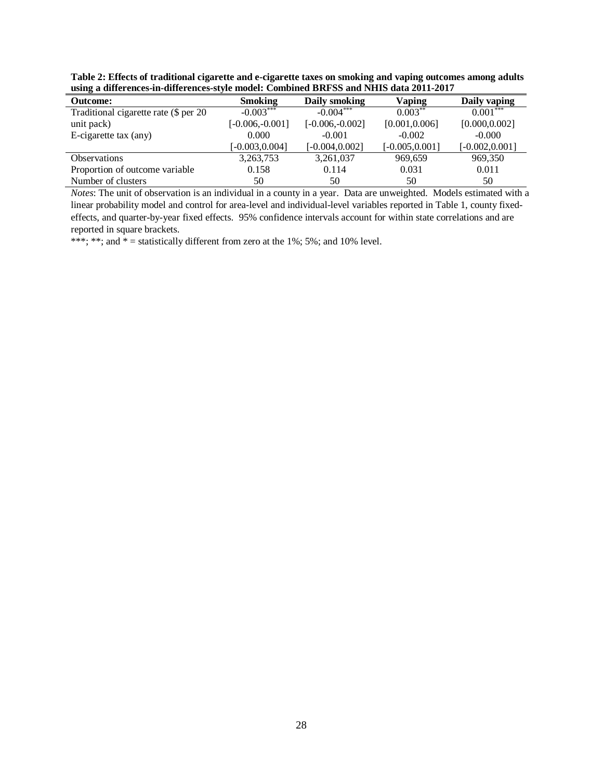**Table 2: Effects of traditional cigarette and e-cigarette taxes on smoking and vaping outcomes among adults using a differences-in-differences-style model: Combined BRFSS and NHIS data 2011-2017** 

| <b>Outcome:</b>                       | <b>Smoking</b>    | Daily smoking     | Vaping            | Daily vaping      |
|---------------------------------------|-------------------|-------------------|-------------------|-------------------|
| Traditional cigarette rate (\$ per 20 | $-0.003***$       | $-0.004***$       | $0.003**$         | $0.001***$        |
| unit pack)                            | $[-0.006,-0.001]$ | $[-0.006,-0.002]$ | [0.001, 0.006]    | [0.000, 0.002]    |
| E-cigarette tax (any)                 | 0.000             | $-0.001$          | $-0.002$          | $-0.000$          |
|                                       | $[-0.003, 0.004]$ | $[-0.004, 0.002]$ | $[-0.005, 0.001]$ | $[-0.002, 0.001]$ |
| <b>Observations</b>                   | 3,263,753         | 3,261,037         | 969,659           | 969,350           |
| Proportion of outcome variable        | 0.158             | 0.114             | 0.031             | 0.011             |
| Number of clusters                    | 50                | 50                | 50                | 50                |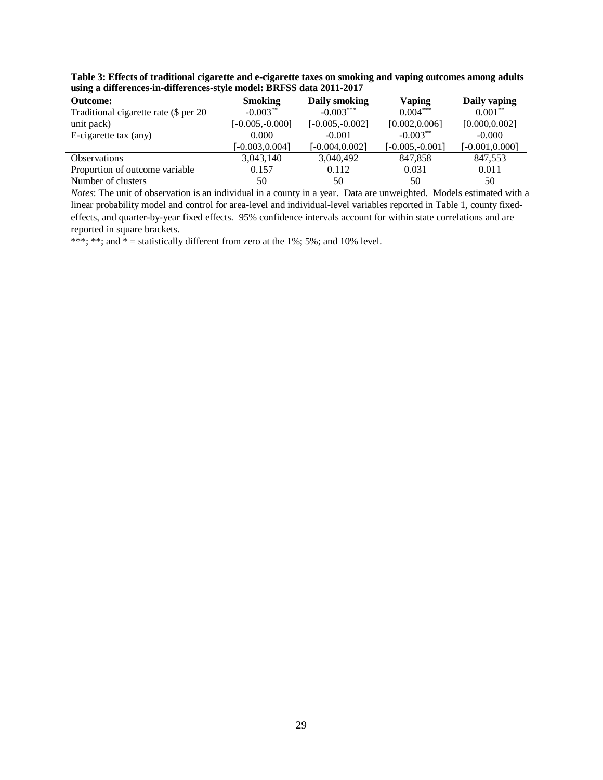**Table 3: Effects of traditional cigarette and e-cigarette taxes on smoking and vaping outcomes among adults using a differences-in-differences-style model: BRFSS data 2011-2017**

| <b>Outcome:</b>                       | <b>Smoking</b>     | Daily smoking      | Vaping             | Daily vaping      |
|---------------------------------------|--------------------|--------------------|--------------------|-------------------|
| Traditional cigarette rate (\$ per 20 | $-0.003***$        | $-0.003***$        | $0.004***$         | $0.001***$        |
| unit pack)                            | $[-0.005, -0.000]$ | $[-0.005, -0.002]$ | [0.002, 0.006]     | [0.000, 0.002]    |
| E-cigarette tax (any)                 | 0.000              | $-0.001$           | $-0.003***$        | $-0.000$          |
|                                       | $[-0.003, 0.004]$  | $[-0.004, 0.002]$  | $[-0.005, -0.001]$ | $[-0.001, 0.000]$ |
| <b>Observations</b>                   | 3,043,140          | 3,040,492          | 847,858            | 847,553           |
| Proportion of outcome variable        | 0.157              | 0.112              | 0.031              | 0.011             |
| Number of clusters                    | 50                 | 50                 | 50                 | 50                |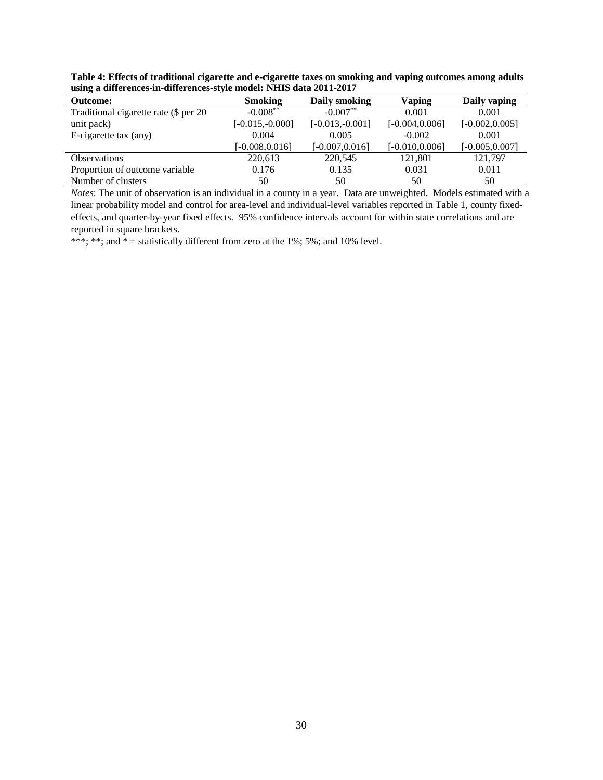| Table 4: Effects of traditional cigarette and e-cigarette taxes on smoking and vaping outcomes among adults |  |
|-------------------------------------------------------------------------------------------------------------|--|
| using a differences-in-differences-style model: NHIS data 2011-2017                                         |  |

| <b>Outcome:</b>                       | <b>Smoking</b>    | Daily smoking     | Vaping            | Daily vaping      |
|---------------------------------------|-------------------|-------------------|-------------------|-------------------|
| Traditional cigarette rate (\$ per 20 | $-0.008***$       | $-0.007**$        | 0.001             | 0.001             |
| unit pack)                            | $[-0.015,-0.000]$ | $[-0.013,-0.001]$ | $[-0.004, 0.006]$ | $[-0.002, 0.005]$ |
| E-cigarette tax (any)                 | 0.004             | 0.005             | $-0.002$          | 0.001             |
|                                       | $[-0.008, 0.016]$ | $[-0.007, 0.016]$ | $[-0.010, 0.006]$ | $[-0.005, 0.007]$ |
| <b>Observations</b>                   | 220,613           | 220,545           | 121,801           | 121,797           |
| Proportion of outcome variable        | 0.176             | 0.135             | 0.031             | 0.011             |
| Number of clusters                    | 50                | 50                | 50                | 50                |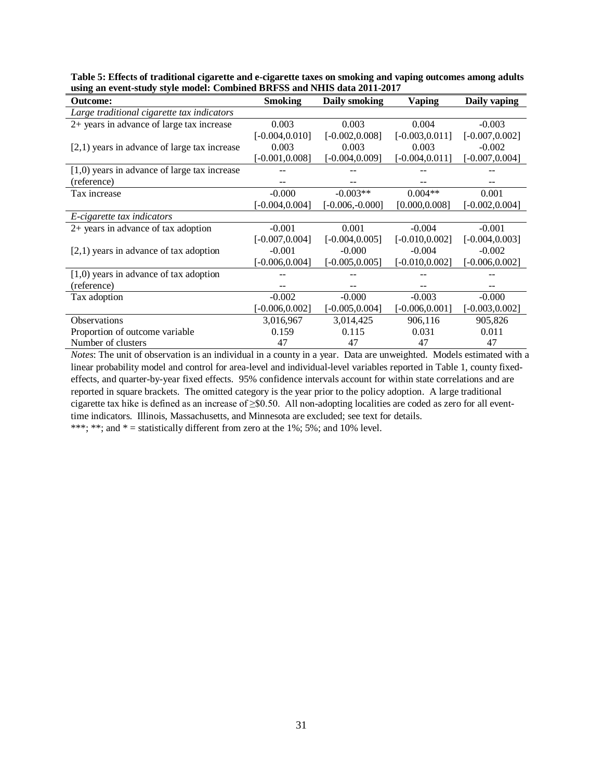| <b>Outcome:</b>                                | <b>Smoking</b>    | Daily smoking     | <b>Vaping</b>     | Daily vaping      |
|------------------------------------------------|-------------------|-------------------|-------------------|-------------------|
| Large traditional cigarette tax indicators     |                   |                   |                   |                   |
| 2+ years in advance of large tax increase      | 0.003             | 0.003             | 0.004             | $-0.003$          |
|                                                | $[-0.004, 0.010]$ | $[-0.002, 0.008]$ | $[-0.003, 0.011]$ | $[-0.007, 0.002]$ |
| $[2,1)$ years in advance of large tax increase | 0.003             | 0.003             | 0.003             | $-0.002$          |
|                                                | $[-0.001, 0.008]$ | $[-0.004, 0.009]$ | $[-0.004, 0.011]$ | $[-0.007, 0.004]$ |
| $[1,0)$ years in advance of large tax increase |                   |                   |                   |                   |
| (reference)                                    |                   |                   |                   |                   |
| Tax increase                                   | $-0.000$          | $-0.003**$        | $0.004**$         | 0.001             |
|                                                | $-0.004, 0.004$ ] | $[-0.006,-0.000]$ | [0.000, 0.008]    | $[-0.002, 0.004]$ |
| E-cigarette tax indicators                     |                   |                   |                   |                   |
| $2+$ years in advance of tax adoption          | $-0.001$          | 0.001             | $-0.004$          | $-0.001$          |
|                                                | $[-0.007, 0.004]$ | $[-0.004, 0.005]$ | $[-0.010, 0.002]$ | $[-0.004, 0.003]$ |
| $[2,1)$ years in advance of tax adoption       | $-0.001$          | $-0.000$          | $-0.004$          | $-0.002$          |
|                                                | $-0.006, 0.004$ ] | $[-0.005, 0.005]$ | $[-0.010, 0.002]$ | $[-0.006, 0.002]$ |
| $[1,0)$ years in advance of tax adoption       |                   |                   |                   |                   |
| (reference)                                    |                   |                   |                   |                   |
| Tax adoption                                   | $-0.002$          | $-0.000$          | $-0.003$          | $-0.000$          |
|                                                | $-0.006, 0.002$   | $[-0.005, 0.004]$ | $[-0.006, 0.001]$ | $[-0.003, 0.002]$ |
| Observations                                   | 3,016,967         | 3,014,425         | 906,116           | 905,826           |
| Proportion of outcome variable                 | 0.159             | 0.115             | 0.031             | 0.011             |
| Number of clusters                             | 47                | 47                | 47                | 47                |

**Table 5: Effects of traditional cigarette and e-cigarette taxes on smoking and vaping outcomes among adults using an event-study style model: Combined BRFSS and NHIS data 2011-2017** 

*Notes*: The unit of observation is an individual in a county in a year. Data are unweighted. Models estimated with a linear probability model and control for area-level and individual-level variables reported in Table 1, county fixedeffects, and quarter-by-year fixed effects. 95% confidence intervals account for within state correlations and are reported in square brackets. The omitted category is the year prior to the policy adoption. A large traditional cigarette tax hike is defined as an increase of ≥\$0.50. All non-adopting localities are coded as zero for all eventtime indicators. Illinois, Massachusetts, and Minnesota are excluded; see text for details.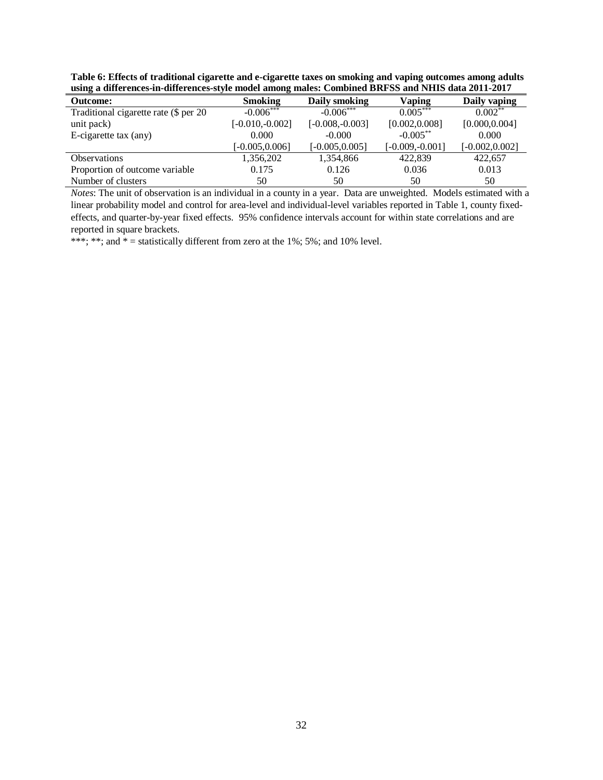**Table 6: Effects of traditional cigarette and e-cigarette taxes on smoking and vaping outcomes among adults using a differences-in-differences-style model among males: Combined BRFSS and NHIS data 2011-2017** 

| <b>Outcome:</b>                       | <b>Smoking</b>    | Daily smoking      | Vaping             | Daily vaping      |
|---------------------------------------|-------------------|--------------------|--------------------|-------------------|
| Traditional cigarette rate (\$ per 20 | $-0.006***$       | $-0.006***$        | $0.005***$         | $0.002***$        |
| unit pack)                            | $[-0.010,-0.002]$ | $[-0.008, -0.003]$ | [0.002, 0.008]     | [0.000, 0.004]    |
| E-cigarette tax (any)                 | 0.000             | $-0.000$           | $-0.005***$        | 0.000             |
|                                       | $[-0.005, 0.006]$ | $[-0.005, 0.005]$  | $[-0.009, -0.001]$ | $[-0.002, 0.002]$ |
| <b>Observations</b>                   | 1,356,202         | 1,354,866          | 422,839            | 422,657           |
| Proportion of outcome variable        | 0.175             | 0.126              | 0.036              | 0.013             |
| Number of clusters                    | 50                | 50                 | 50                 | 50                |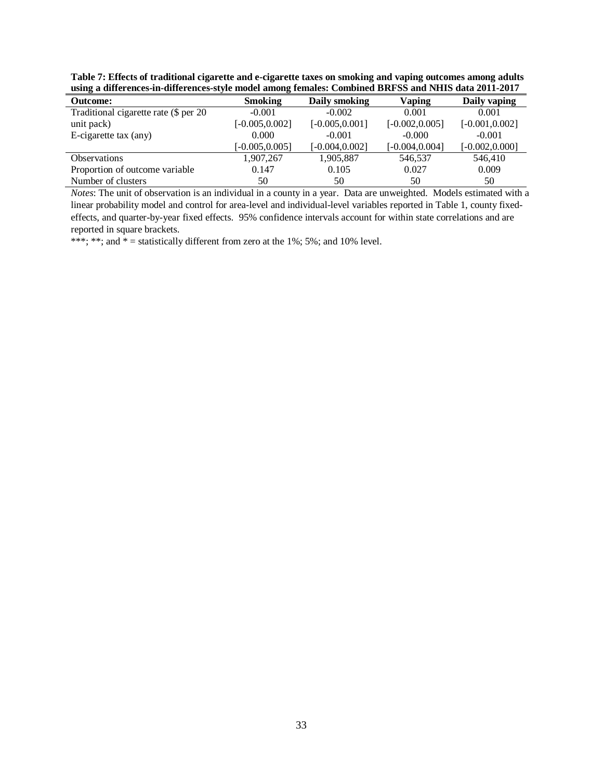**Table 7: Effects of traditional cigarette and e-cigarette taxes on smoking and vaping outcomes among adults using a differences-in-differences-style model among females: Combined BRFSS and NHIS data 2011-2017** 

| <b>Outcome:</b>                       | <b>Smoking</b>    | Daily smoking     | Vaping            | Daily vaping      |
|---------------------------------------|-------------------|-------------------|-------------------|-------------------|
| Traditional cigarette rate (\$ per 20 | $-0.001$          | $-0.002$          | 0.001             | 0.001             |
| unit pack)                            | $[-0.005, 0.002]$ | $[-0.005, 0.001]$ | $[-0.002, 0.005]$ | $[-0.001, 0.002]$ |
| E-cigarette tax (any)                 | 0.000             | $-0.001$          | $-0.000$          | $-0.001$          |
|                                       | $[-0.005, 0.005]$ | $[-0.004, 0.002]$ | $[-0.004, 0.004]$ | $[-0.002, 0.000]$ |
| <b>Observations</b>                   | 1,907,267         | 1,905,887         | 546,537           | 546,410           |
| Proportion of outcome variable        | 0.147             | 0.105             | 0.027             | 0.009             |
| Number of clusters                    | 50                | 50                | 50                | 50                |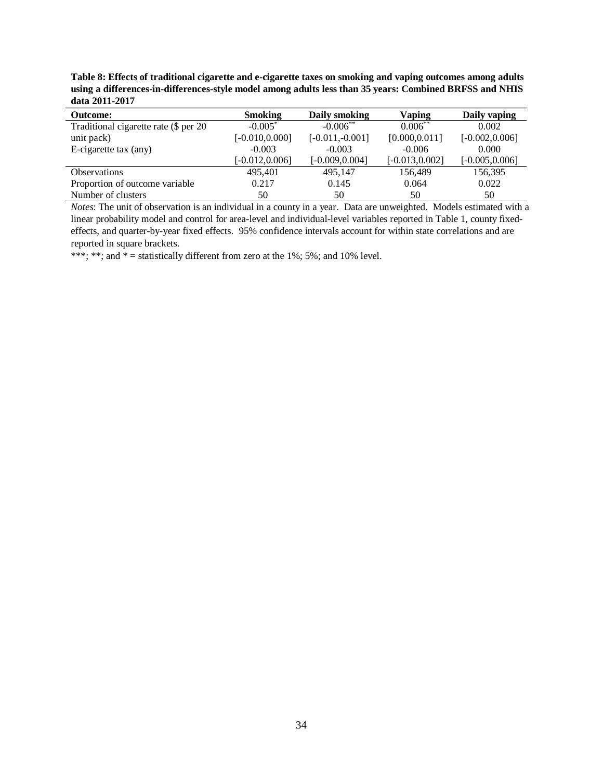**Table 8: Effects of traditional cigarette and e-cigarette taxes on smoking and vaping outcomes among adults using a differences-in-differences-style model among adults less than 35 years: Combined BRFSS and NHIS data 2011-2017**

| <b>Outcome:</b>                       | <b>Smoking</b>    | Daily smoking     | Vaping            | Daily vaping      |
|---------------------------------------|-------------------|-------------------|-------------------|-------------------|
| Traditional cigarette rate (\$ per 20 | $-0.005*$         | $-0.006**$        | $0.006**$         | 0.002             |
| unit pack)                            | $[-0.010, 0.000]$ | $[-0.011,-0.001]$ | [0.000, 0.011]    | $[-0.002, 0.006]$ |
| E-cigarette tax (any)                 | $-0.003$          | $-0.003$          | $-0.006$          | 0.000             |
|                                       | $[-0.012, 0.006]$ | $[-0.009, 0.004]$ | $[-0.013, 0.002]$ | $[-0.005, 0.006]$ |
| <b>Observations</b>                   | 495,401           | 495,147           | 156,489           | 156,395           |
| Proportion of outcome variable        | 0.217             | 0.145             | 0.064             | 0.022             |
| Number of clusters                    | 50                | 50                | 50                | 50                |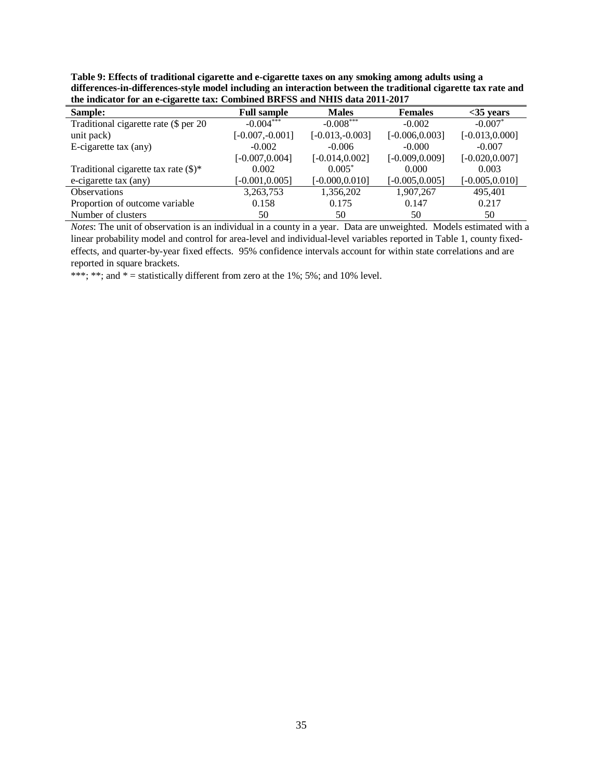**Table 9: Effects of traditional cigarette and e-cigarette taxes on any smoking among adults using a differences-in-differences-style model including an interaction between the traditional cigarette tax rate and the indicator for an e-cigarette tax: Combined BRFSS and NHIS data 2011-2017** 

| $\bullet$<br>Sample:                    | <b>Full sample</b> | <b>Males</b>      | <b>Females</b>    | $<$ 35 years      |
|-----------------------------------------|--------------------|-------------------|-------------------|-------------------|
| Traditional cigarette rate (\$ per 20   | $-0.004***$        | $-0.008***$       | $-0.002$          | $-0.007*$         |
| unit pack)                              | $[-0.007, -0.001]$ | $[-0.013,-0.003]$ | $[-0.006, 0.003]$ | $[-0.013, 0.000]$ |
| E-cigarette tax (any)                   | $-0.002$           | $-0.006$          | $-0.000$          | $-0.007$          |
|                                         | $[-0.007, 0.004]$  | $[-0.014, 0.002]$ | $[-0.009, 0.009]$ | $[-0.020, 0.007]$ |
| Traditional cigarette tax rate $(\$)^*$ | 0.002              | $0.005*$          | 0.000             | 0.003             |
| e-cigarette tax (any)                   | $[-0.001, 0.005]$  | $[-0.000, 0.010]$ | $[-0.005, 0.005]$ | $[-0.005, 0.010]$ |
| <b>Observations</b>                     | 3,263,753          | 1,356,202         | 1,907,267         | 495,401           |
| Proportion of outcome variable          | 0.158              | 0.175             | 0.147             | 0.217             |
| Number of clusters                      | 50                 | 50                | 50                | 50                |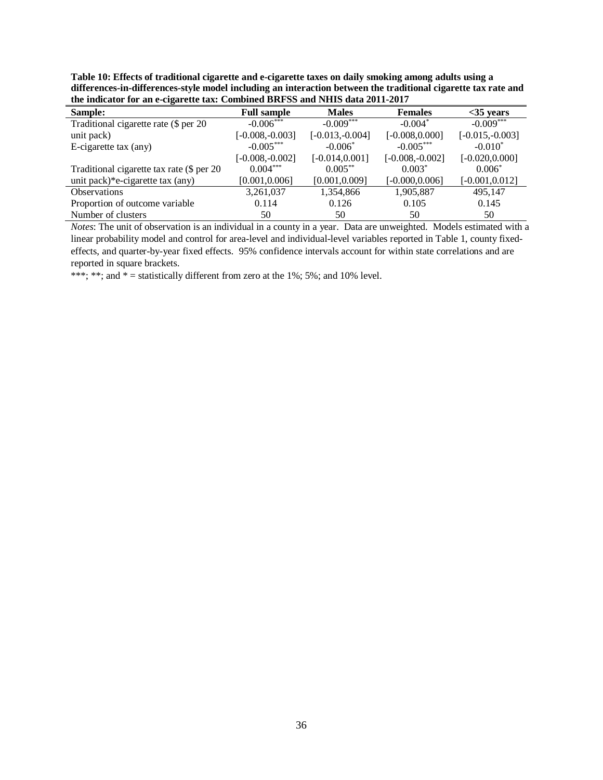**Table 10: Effects of traditional cigarette and e-cigarette taxes on daily smoking among adults using a differences-in-differences-style model including an interaction between the traditional cigarette tax rate and the indicator for an e-cigarette tax: Combined BRFSS and NHIS data 2011-2017** 

| Sample:                                   | <b>Full sample</b> | <b>Males</b>      | <b>Females</b>     | $<$ 35 years      |
|-------------------------------------------|--------------------|-------------------|--------------------|-------------------|
| Traditional cigarette rate (\$ per 20     | $-0.006***$        | $-0.009***$       | $-0.004*$          | $-0.009***$       |
| unit pack)                                | $[-0.008,-0.003]$  | $[-0.013,-0.004]$ | $[-0.008, 0.000]$  | $[-0.015,-0.003]$ |
| E-cigarette tax (any)                     | $-0.005***$        | $-0.006*$         | $-0.005***$        | $-0.010*$         |
|                                           | $[-0.008, -0.002]$ | $[-0.014, 0.001]$ | $[-0.008, -0.002]$ | $[-0.020, 0.000]$ |
| Traditional cigarette tax rate (\$ per 20 | $0.004***$         | $0.005***$        | $0.003*$           | $0.006*$          |
| unit pack)*e-cigarette tax (any)          | [0.001, 0.006]     | [0.001, 0.009]    | $[-0.000, 0.006]$  | $[-0.001, 0.012]$ |
| <b>Observations</b>                       | 3,261,037          | 1,354,866         | 1,905,887          | 495,147           |
| Proportion of outcome variable            | 0.114              | 0.126             | 0.105              | 0.145             |
| Number of clusters                        | 50                 | 50                | 50                 | 50                |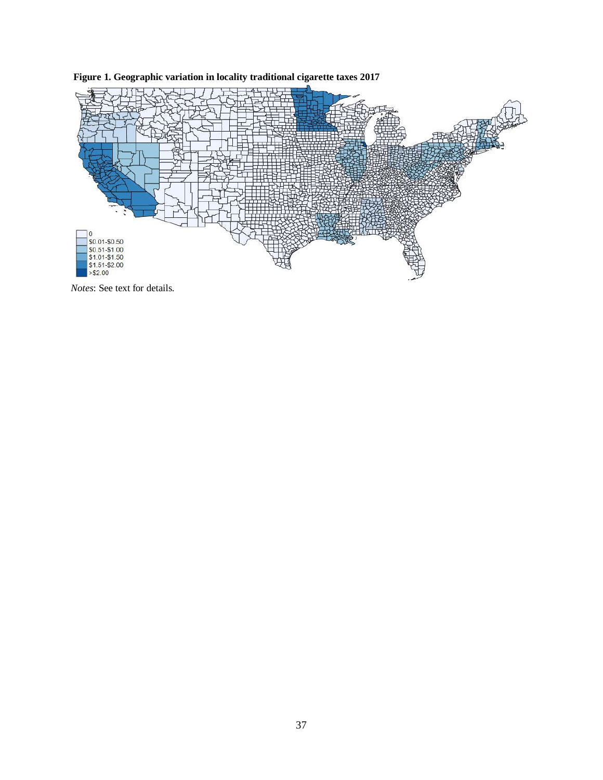

**Figure 1. Geographic variation in locality traditional cigarette taxes 2017**

*Notes*: See text for details.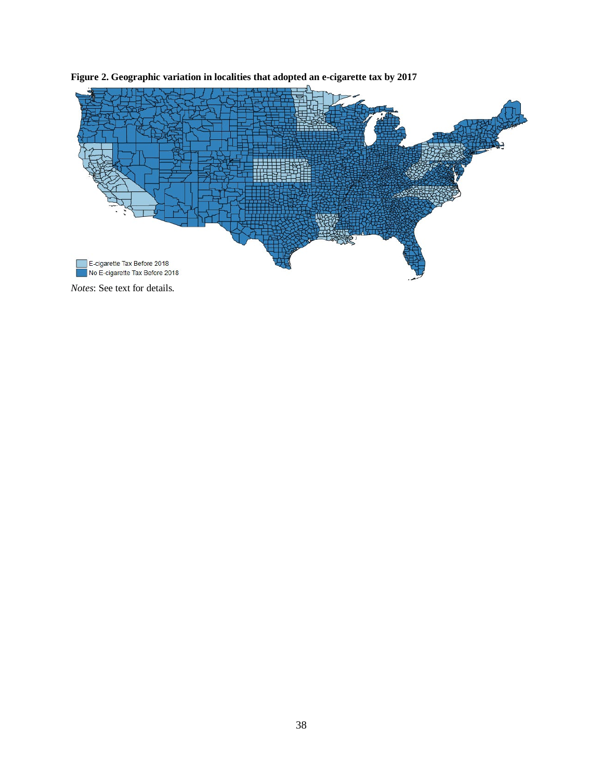

**Figure 2. Geographic variation in localities that adopted an e-cigarette tax by 2017**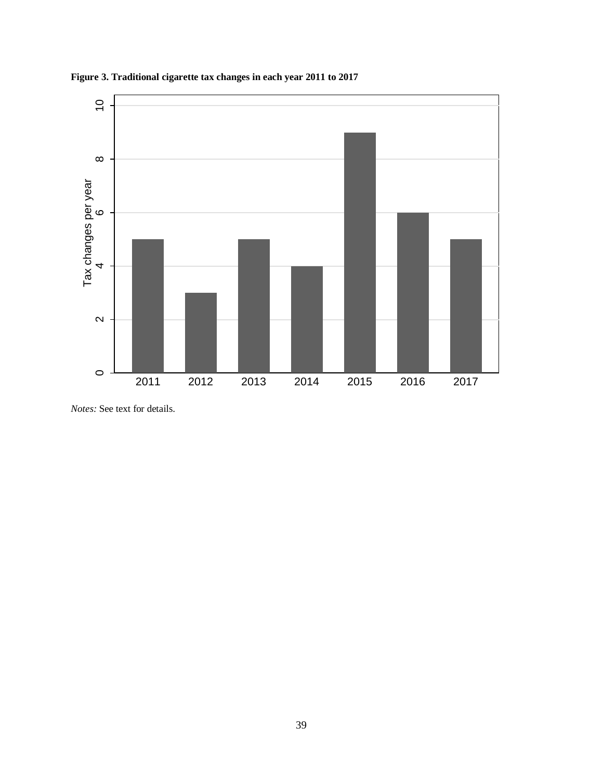

**Figure 3. Traditional cigarette tax changes in each year 2011 to 2017**

*Notes:* See text for details.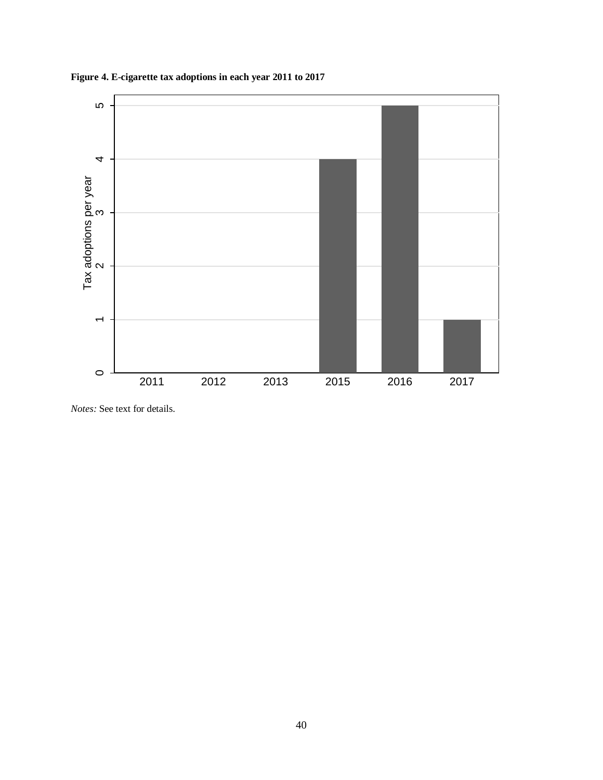

**Figure 4. E-cigarette tax adoptions in each year 2011 to 2017**

*Notes:* See text for details.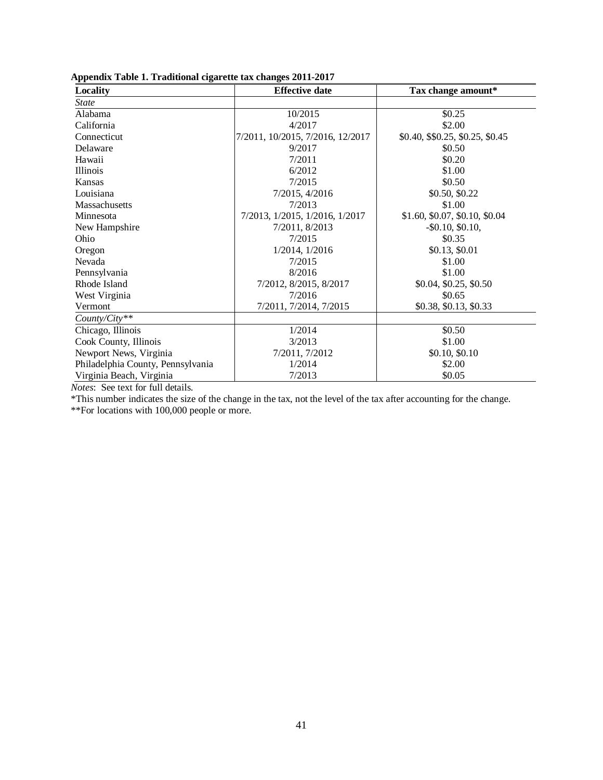| Locality                          | <b>Effective date</b>            | Tax change amount*               |
|-----------------------------------|----------------------------------|----------------------------------|
| <b>State</b>                      |                                  |                                  |
| Alabama                           | 10/2015                          | \$0.25                           |
| California                        | 4/2017                           | \$2.00                           |
| Connecticut                       | 7/2011, 10/2015, 7/2016, 12/2017 | \$0.40, \$\$0.25, \$0.25, \$0.45 |
| Delaware                          | 9/2017                           | \$0.50                           |
| Hawaii                            | 7/2011                           | \$0.20                           |
| Illinois                          | 6/2012                           | \$1.00                           |
| Kansas                            | 7/2015                           | \$0.50                           |
| Louisiana                         | 7/2015, 4/2016                   | \$0.50, \$0.22                   |
| Massachusetts                     | 7/2013                           | \$1.00                           |
| Minnesota                         | 7/2013, 1/2015, 1/2016, 1/2017   | \$1.60, \$0.07, \$0.10, \$0.04   |
| New Hampshire                     | 7/2011, 8/2013                   | $-$ \$0.10, \$0.10,              |
| Ohio                              | 7/2015                           | \$0.35                           |
| Oregon                            | 1/2014, 1/2016                   | \$0.13, \$0.01                   |
| Nevada                            | 7/2015                           | \$1.00                           |
| Pennsylvania                      | 8/2016                           | \$1.00                           |
| Rhode Island                      | 7/2012, 8/2015, 8/2017           | \$0.04, \$0.25, \$0.50           |
| West Virginia                     | 7/2016                           | \$0.65                           |
| Vermont                           | 7/2011, 7/2014, 7/2015           | \$0.38, \$0.13, \$0.33           |
| County/City**                     |                                  |                                  |
| Chicago, Illinois                 | 1/2014                           | \$0.50                           |
| Cook County, Illinois             | 3/2013                           | \$1.00                           |
| Newport News, Virginia            | 7/2011, 7/2012                   | \$0.10, \$0.10                   |
| Philadelphia County, Pennsylvania | 1/2014                           | \$2.00                           |
| Virginia Beach, Virginia          | 7/2013                           | \$0.05                           |

|  | Appendix Table 1. Traditional cigarette tax changes 2011-2017 |  |  |  |  |  |  |  |
|--|---------------------------------------------------------------|--|--|--|--|--|--|--|
|--|---------------------------------------------------------------|--|--|--|--|--|--|--|

*Notes*: See text for full details.

\*This number indicates the size of the change in the tax, not the level of the tax after accounting for the change.

\*\*For locations with 100,000 people or more.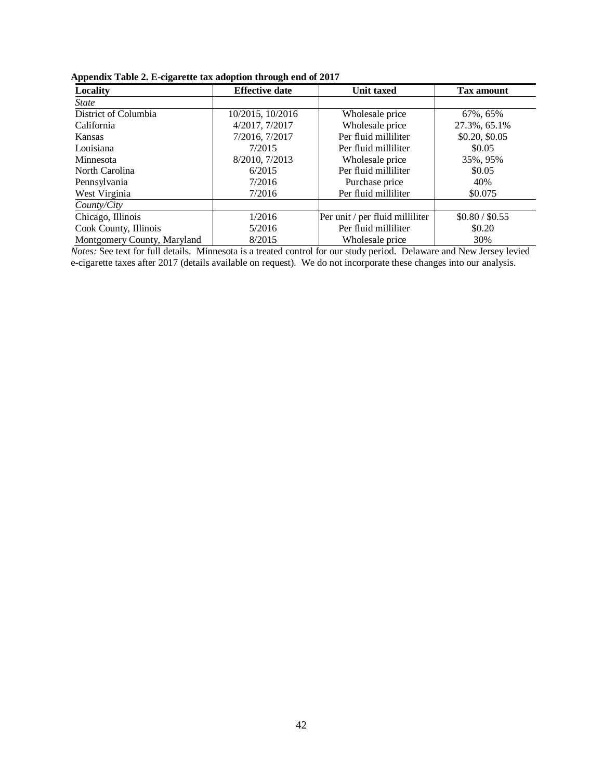| . .                         |                       |                                 |                   |
|-----------------------------|-----------------------|---------------------------------|-------------------|
| Locality                    | <b>Effective date</b> | <b>Unit taxed</b>               | <b>Tax amount</b> |
| <i>State</i>                |                       |                                 |                   |
| District of Columbia        | 10/2015, 10/2016      | Wholesale price                 | 67%, 65%          |
| California                  | 4/2017, 7/2017        | Wholesale price                 | 27.3%, 65.1%      |
| <b>Kansas</b>               | 7/2016, 7/2017        | Per fluid milliliter            | \$0.20, \$0.05    |
| Louisiana                   | 7/2015                | Per fluid milliliter            | \$0.05            |
| Minnesota                   | 8/2010, 7/2013        | Wholesale price                 | 35%, 95%          |
| North Carolina              | 6/2015                | Per fluid milliliter            | \$0.05            |
| Pennsylvania                | 7/2016                | Purchase price                  | 40%               |
| West Virginia               | 7/2016                | Per fluid milliliter            | \$0.075           |
| County/City                 |                       |                                 |                   |
| Chicago, Illinois           | 1/2016                | Per unit / per fluid milliliter | \$0.80 / \$0.55   |
| Cook County, Illinois       | 5/2016                | Per fluid milliliter            | \$0.20            |
| Montgomery County, Maryland | 8/2015                | Wholesale price                 | 30%               |

**Appendix Table 2. E-cigarette tax adoption through end of 2017**

*Notes:* See text for full details. Minnesota is a treated control for our study period. Delaware and New Jersey levied e-cigarette taxes after 2017 (details available on request). We do not incorporate these changes into our analysis.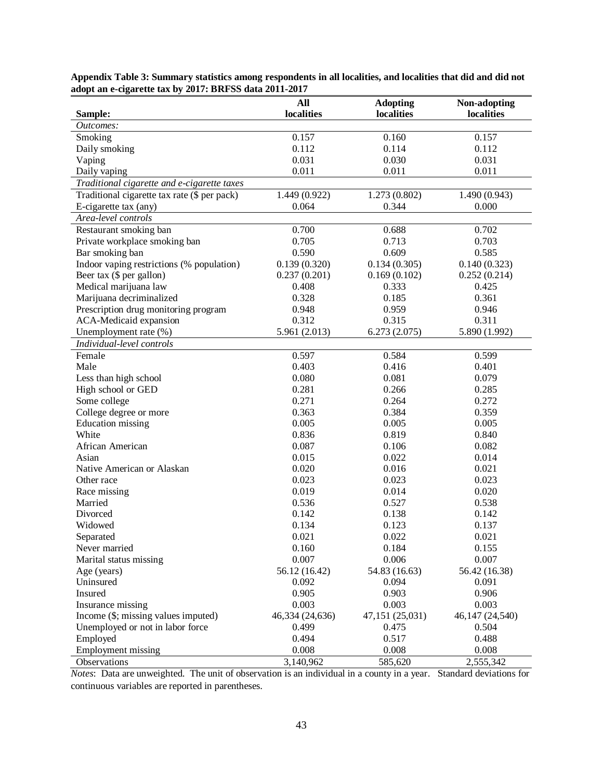| Sample:                                      | All<br>localities | <b>Adopting</b><br>localities | Non-adopting<br>localities |
|----------------------------------------------|-------------------|-------------------------------|----------------------------|
| Outcomes:                                    |                   |                               |                            |
| Smoking                                      | 0.157             | 0.160                         | 0.157                      |
| Daily smoking                                | 0.112             | 0.114                         | 0.112                      |
| Vaping                                       | 0.031             | 0.030                         | 0.031                      |
| Daily vaping                                 | 0.011             | 0.011                         | 0.011                      |
| Traditional cigarette and e-cigarette taxes  |                   |                               |                            |
| Traditional cigarette tax rate (\$ per pack) | 1.449 (0.922)     | 1.273 (0.802)                 | 1.490(0.943)               |
| E-cigarette tax (any)                        | 0.064             | 0.344                         | 0.000                      |
| Area-level controls                          |                   |                               |                            |
| Restaurant smoking ban                       | 0.700             | 0.688                         | 0.702                      |
| Private workplace smoking ban                | 0.705             | 0.713                         | 0.703                      |
| Bar smoking ban                              | 0.590             | 0.609                         | 0.585                      |
| Indoor vaping restrictions (% population)    | 0.139(0.320)      | 0.134(0.305)                  | 0.140(0.323)               |
| Beer tax (\$ per gallon)                     | 0.237(0.201)      | 0.169(0.102)                  | 0.252(0.214)               |
| Medical marijuana law                        | 0.408             | 0.333                         | 0.425                      |
| Marijuana decriminalized                     | 0.328             | 0.185                         | 0.361                      |
| Prescription drug monitoring program         | 0.948             | 0.959                         | 0.946                      |
| ACA-Medicaid expansion                       | 0.312             | 0.315                         | 0.311                      |
| Unemployment rate (%)                        | 5.961 (2.013)     | 6.273(2.075)                  | 5.890 (1.992)              |
| Individual-level controls                    |                   |                               |                            |
| Female                                       | 0.597             | 0.584                         | 0.599                      |
| Male                                         | 0.403             | 0.416                         | 0.401                      |
| Less than high school                        | 0.080             | 0.081                         | 0.079                      |
| High school or GED                           | 0.281             | 0.266                         | 0.285                      |
| Some college                                 | 0.271             | 0.264                         | 0.272                      |
| College degree or more                       | 0.363             | 0.384                         | 0.359                      |
| <b>Education</b> missing                     | 0.005             | 0.005                         | 0.005                      |
| White                                        | 0.836             | 0.819                         | 0.840                      |
| African American                             | 0.087             | 0.106                         | 0.082                      |
| Asian                                        | 0.015             | 0.022                         | 0.014                      |
| Native American or Alaskan                   | 0.020             | 0.016                         | 0.021                      |
| Other race                                   | 0.023             | 0.023                         | 0.023                      |
| Race missing                                 | 0.019             | 0.014                         | 0.020                      |
| Married                                      | 0.536             | 0.527                         | 0.538                      |
| Divorced                                     | 0.142             | 0.138                         | 0.142                      |
| Widowed                                      | 0.134             | 0.123                         | 0.137                      |
| Separated                                    | 0.021             | 0.022                         | 0.021                      |
| Never married                                | 0.160             | 0.184                         | 0.155                      |
| Marital status missing                       | 0.007             | 0.006                         | 0.007                      |
| Age (years)                                  | 56.12 (16.42)     | 54.83 (16.63)                 | 56.42 (16.38)              |
| Uninsured                                    | 0.092             | 0.094                         | 0.091                      |
| Insured                                      | 0.905             | 0.903                         | 0.906                      |
| Insurance missing                            | 0.003             | 0.003                         | 0.003                      |
| Income (\$; missing values imputed)          | 46,334 (24,636)   | 47,151 (25,031)               | 46,147 (24,540)            |
| Unemployed or not in labor force             | 0.499             | 0.475                         | 0.504                      |
| Employed                                     | 0.494             | 0.517                         | 0.488                      |
| <b>Employment missing</b>                    | 0.008             | 0.008                         | 0.008                      |
| Observations                                 | 3,140,962         | 585,620                       | 2,555,342                  |

**Appendix Table 3: Summary statistics among respondents in all localities, and localities that did and did not adopt an e-cigarette tax by 2017: BRFSS data 2011-2017**

*Notes*: Data are unweighted. The unit of observation is an individual in a county in a year. Standard deviations for continuous variables are reported in parentheses.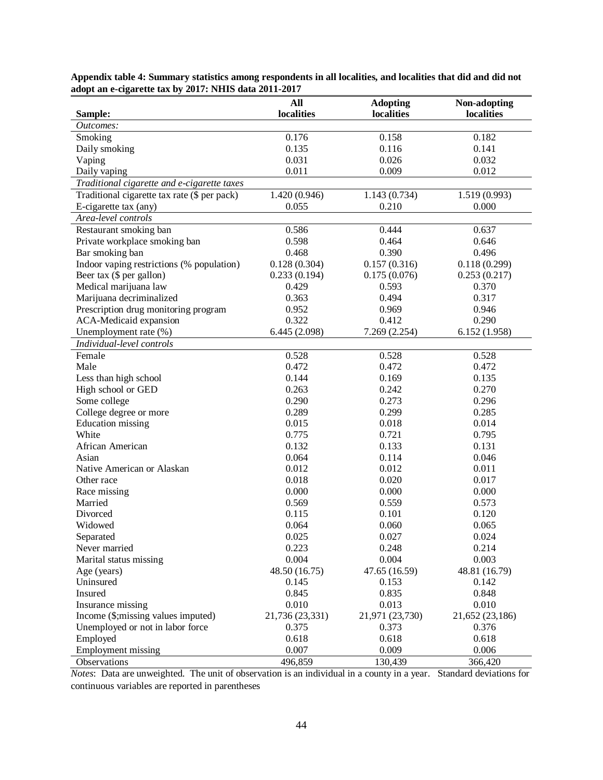| Sample:                                      | All<br>localities | <b>Adopting</b><br>localities | Non-adopting<br>localities |
|----------------------------------------------|-------------------|-------------------------------|----------------------------|
| Outcomes:                                    |                   |                               |                            |
| Smoking                                      | 0.176             | 0.158                         | 0.182                      |
| Daily smoking                                | 0.135             | 0.116                         | 0.141                      |
| Vaping                                       | 0.031             | 0.026                         | 0.032                      |
| Daily vaping                                 | 0.011             | 0.009                         | 0.012                      |
| Traditional cigarette and e-cigarette taxes  |                   |                               |                            |
| Traditional cigarette tax rate (\$ per pack) | 1.420 (0.946)     | 1.143(0.734)                  | 1.519(0.993)               |
| E-cigarette tax (any)                        | 0.055             | 0.210                         | 0.000                      |
| Area-level controls                          |                   |                               |                            |
| Restaurant smoking ban                       | 0.586             | 0.444                         | 0.637                      |
| Private workplace smoking ban                | 0.598             | 0.464                         | 0.646                      |
| Bar smoking ban                              | 0.468             | 0.390                         | 0.496                      |
| Indoor vaping restrictions (% population)    | 0.128(0.304)      | 0.157(0.316)                  | 0.118(0.299)               |
| Beer tax (\$ per gallon)                     | 0.233(0.194)      | 0.175(0.076)                  | 0.253(0.217)               |
| Medical marijuana law                        | 0.429             | 0.593                         | 0.370                      |
| Marijuana decriminalized                     | 0.363             | 0.494                         | 0.317                      |
| Prescription drug monitoring program         | 0.952             | 0.969                         | 0.946                      |
| ACA-Medicaid expansion                       | 0.322             | 0.412                         | 0.290                      |
| Unemployment rate (%)                        | 6.445(2.098)      | 7.269 (2.254)                 | 6.152(1.958)               |
| Individual-level controls                    |                   |                               |                            |
| Female                                       | 0.528             | 0.528                         | 0.528                      |
| Male                                         | 0.472             | 0.472                         | 0.472                      |
| Less than high school                        | 0.144             | 0.169                         | 0.135                      |
| High school or GED                           | 0.263             | 0.242                         | 0.270                      |
| Some college                                 | 0.290             | 0.273                         | 0.296                      |
| College degree or more                       | 0.289             | 0.299                         | 0.285                      |
| <b>Education</b> missing                     | 0.015             | 0.018                         | 0.014                      |
| White                                        | 0.775             | 0.721                         | 0.795                      |
| African American                             | 0.132             | 0.133                         | 0.131                      |
| Asian                                        | 0.064             | 0.114                         | 0.046                      |
| Native American or Alaskan                   | 0.012             | 0.012                         | 0.011                      |
| Other race                                   | 0.018             | 0.020                         | 0.017                      |
| Race missing                                 | 0.000             | 0.000                         | 0.000                      |
| Married                                      | 0.569             | 0.559                         | 0.573                      |
| Divorced                                     | 0.115             | 0.101                         | 0.120                      |
| Widowed                                      | 0.064             | 0.060                         | 0.065                      |
| Separated                                    | 0.025             | 0.027                         | 0.024                      |
| Never married                                | 0.223             | 0.248                         | 0.214                      |
| Marital status missing                       | 0.004             | 0.004                         | 0.003                      |
| Age (years)                                  | 48.50 (16.75)     | 47.65 (16.59)                 | 48.81 (16.79)              |
| Uninsured                                    | 0.145             | 0.153                         | 0.142                      |
| Insured                                      | 0.845             | 0.835                         | 0.848                      |
| Insurance missing                            | 0.010             | 0.013                         | 0.010                      |
| Income (\$;missing values imputed)           | 21,736 (23,331)   | 21,971 (23,730)               | 21,652 (23,186)            |
| Unemployed or not in labor force             | 0.375             | 0.373                         | 0.376                      |
| Employed                                     | 0.618             | 0.618                         | 0.618                      |
| <b>Employment missing</b>                    | 0.007             | 0.009                         | 0.006                      |
| Observations                                 | 496,859           | 130,439                       | 366,420                    |

**Appendix table 4: Summary statistics among respondents in all localities, and localities that did and did not adopt an e-cigarette tax by 2017: NHIS data 2011-2017** 

*Notes*: Data are unweighted. The unit of observation is an individual in a county in a year. Standard deviations for continuous variables are reported in parentheses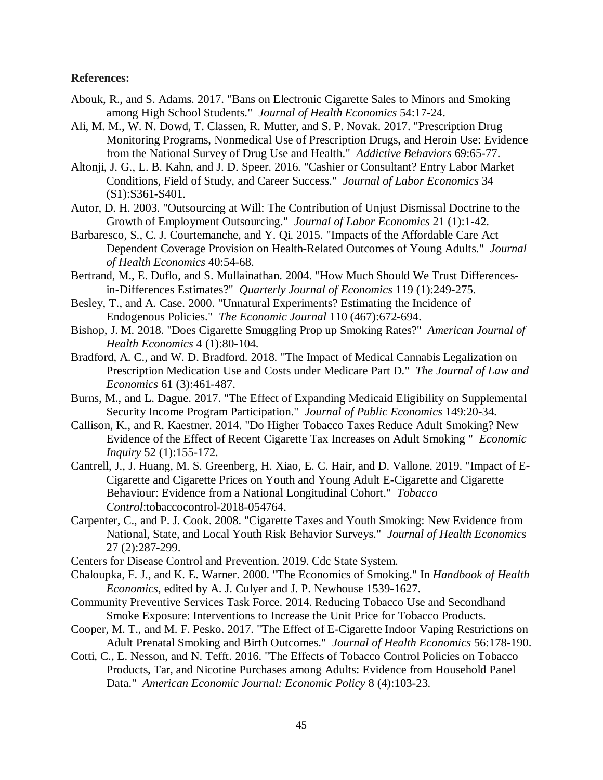#### **References:**

- Abouk, R., and S. Adams. 2017. "Bans on Electronic Cigarette Sales to Minors and Smoking among High School Students." *Journal of Health Economics* 54:17-24.
- Ali, M. M., W. N. Dowd, T. Classen, R. Mutter, and S. P. Novak. 2017. "Prescription Drug Monitoring Programs, Nonmedical Use of Prescription Drugs, and Heroin Use: Evidence from the National Survey of Drug Use and Health." *Addictive Behaviors* 69:65-77.
- Altonji, J. G., L. B. Kahn, and J. D. Speer. 2016. "Cashier or Consultant? Entry Labor Market Conditions, Field of Study, and Career Success." *Journal of Labor Economics* 34 (S1):S361-S401.
- Autor, D. H. 2003. "Outsourcing at Will: The Contribution of Unjust Dismissal Doctrine to the Growth of Employment Outsourcing." *Journal of Labor Economics* 21 (1):1-42.
- Barbaresco, S., C. J. Courtemanche, and Y. Qi. 2015. "Impacts of the Affordable Care Act Dependent Coverage Provision on Health-Related Outcomes of Young Adults." *Journal of Health Economics* 40:54-68.
- Bertrand, M., E. Duflo, and S. Mullainathan. 2004. "How Much Should We Trust Differencesin-Differences Estimates?" *Quarterly Journal of Economics* 119 (1):249-275.
- Besley, T., and A. Case. 2000. "Unnatural Experiments? Estimating the Incidence of Endogenous Policies." *The Economic Journal* 110 (467):672-694.
- Bishop, J. M. 2018. "Does Cigarette Smuggling Prop up Smoking Rates?" *American Journal of Health Economics* 4 (1):80-104.
- Bradford, A. C., and W. D. Bradford. 2018. "The Impact of Medical Cannabis Legalization on Prescription Medication Use and Costs under Medicare Part D." *The Journal of Law and Economics* 61 (3):461-487.
- Burns, M., and L. Dague. 2017. "The Effect of Expanding Medicaid Eligibility on Supplemental Security Income Program Participation." *Journal of Public Economics* 149:20-34.
- Callison, K., and R. Kaestner. 2014. "Do Higher Tobacco Taxes Reduce Adult Smoking? New Evidence of the Effect of Recent Cigarette Tax Increases on Adult Smoking " *Economic Inquiry* 52 (1):155-172.
- Cantrell, J., J. Huang, M. S. Greenberg, H. Xiao, E. C. Hair, and D. Vallone. 2019. "Impact of E-Cigarette and Cigarette Prices on Youth and Young Adult E-Cigarette and Cigarette Behaviour: Evidence from a National Longitudinal Cohort." *Tobacco Control*:tobaccocontrol-2018-054764.
- Carpenter, C., and P. J. Cook. 2008. "Cigarette Taxes and Youth Smoking: New Evidence from National, State, and Local Youth Risk Behavior Surveys." *Journal of Health Economics* 27 (2):287-299.
- Centers for Disease Control and Prevention. 2019. Cdc State System.
- Chaloupka, F. J., and K. E. Warner. 2000. "The Economics of Smoking." In *Handbook of Health Economics*, edited by A. J. Culyer and J. P. Newhouse 1539-1627.
- Community Preventive Services Task Force. 2014. Reducing Tobacco Use and Secondhand Smoke Exposure: Interventions to Increase the Unit Price for Tobacco Products.
- Cooper, M. T., and M. F. Pesko. 2017. "The Effect of E-Cigarette Indoor Vaping Restrictions on Adult Prenatal Smoking and Birth Outcomes." *Journal of Health Economics* 56:178-190.
- Cotti, C., E. Nesson, and N. Tefft. 2016. "The Effects of Tobacco Control Policies on Tobacco Products, Tar, and Nicotine Purchases among Adults: Evidence from Household Panel Data." *American Economic Journal: Economic Policy* 8 (4):103-23.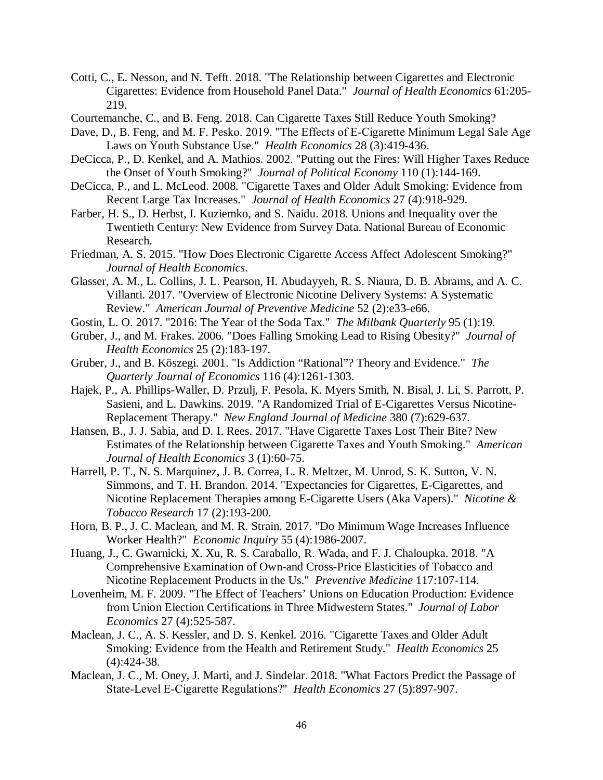- Cotti, C., E. Nesson, and N. Tefft. 2018. "The Relationship between Cigarettes and Electronic Cigarettes: Evidence from Household Panel Data." *Journal of Health Economics* 61:205- 219.
- Courtemanche, C., and B. Feng. 2018. Can Cigarette Taxes Still Reduce Youth Smoking?
- Dave, D., B. Feng, and M. F. Pesko. 2019. "The Effects of E-Cigarette Minimum Legal Sale Age Laws on Youth Substance Use." *Health Economics* 28 (3):419-436.
- DeCicca, P., D. Kenkel, and A. Mathios. 2002. "Putting out the Fires: Will Higher Taxes Reduce the Onset of Youth Smoking?" *Journal of Political Economy* 110 (1):144-169.
- DeCicca, P., and L. McLeod. 2008. "Cigarette Taxes and Older Adult Smoking: Evidence from Recent Large Tax Increases." *Journal of Health Economics* 27 (4):918-929.
- Farber, H. S., D. Herbst, I. Kuziemko, and S. Naidu. 2018. Unions and Inequality over the Twentieth Century: New Evidence from Survey Data. National Bureau of Economic Research.
- Friedman, A. S. 2015. "How Does Electronic Cigarette Access Affect Adolescent Smoking?" *Journal of Health Economics*.
- Glasser, A. M., L. Collins, J. L. Pearson, H. Abudayyeh, R. S. Niaura, D. B. Abrams, and A. C. Villanti. 2017. "Overview of Electronic Nicotine Delivery Systems: A Systematic Review." *American Journal of Preventive Medicine* 52 (2):e33-e66.
- Gostin, L. O. 2017. "2016: The Year of the Soda Tax." *The Milbank Quarterly* 95 (1):19.
- Gruber, J., and M. Frakes. 2006. "Does Falling Smoking Lead to Rising Obesity?" *Journal of Health Economics* 25 (2):183-197.
- Gruber, J., and B. Köszegi. 2001. "Is Addiction "Rational"? Theory and Evidence." *The Quarterly Journal of Economics* 116 (4):1261-1303.
- Hajek, P., A. Phillips-Waller, D. Przulj, F. Pesola, K. Myers Smith, N. Bisal, J. Li, S. Parrott, P. Sasieni, and L. Dawkins. 2019. "A Randomized Trial of E-Cigarettes Versus Nicotine-Replacement Therapy." *New England Journal of Medicine* 380 (7):629-637.
- Hansen, B., J. J. Sabia, and D. I. Rees. 2017. "Have Cigarette Taxes Lost Their Bite? New Estimates of the Relationship between Cigarette Taxes and Youth Smoking." *American Journal of Health Economics* 3 (1):60-75.
- Harrell, P. T., N. S. Marquinez, J. B. Correa, L. R. Meltzer, M. Unrod, S. K. Sutton, V. N. Simmons, and T. H. Brandon. 2014. "Expectancies for Cigarettes, E-Cigarettes, and Nicotine Replacement Therapies among E-Cigarette Users (Aka Vapers)." *Nicotine & Tobacco Research* 17 (2):193-200.
- Horn, B. P., J. C. Maclean, and M. R. Strain. 2017. "Do Minimum Wage Increases Influence Worker Health?" *Economic Inquiry* 55 (4):1986-2007.
- Huang, J., C. Gwarnicki, X. Xu, R. S. Caraballo, R. Wada, and F. J. Chaloupka. 2018. "A Comprehensive Examination of Own-and Cross-Price Elasticities of Tobacco and Nicotine Replacement Products in the Us." *Preventive Medicine* 117:107-114.
- Lovenheim, M. F. 2009. "The Effect of Teachers' Unions on Education Production: Evidence from Union Election Certifications in Three Midwestern States." *Journal of Labor Economics* 27 (4):525-587.
- Maclean, J. C., A. S. Kessler, and D. S. Kenkel. 2016. "Cigarette Taxes and Older Adult Smoking: Evidence from the Health and Retirement Study." *Health Economics* 25 (4):424-38.
- Maclean, J. C., M. Oney, J. Marti, and J. Sindelar. 2018. "What Factors Predict the Passage of State‐Level E‐Cigarette Regulations?" *Health Economics* 27 (5):897-907.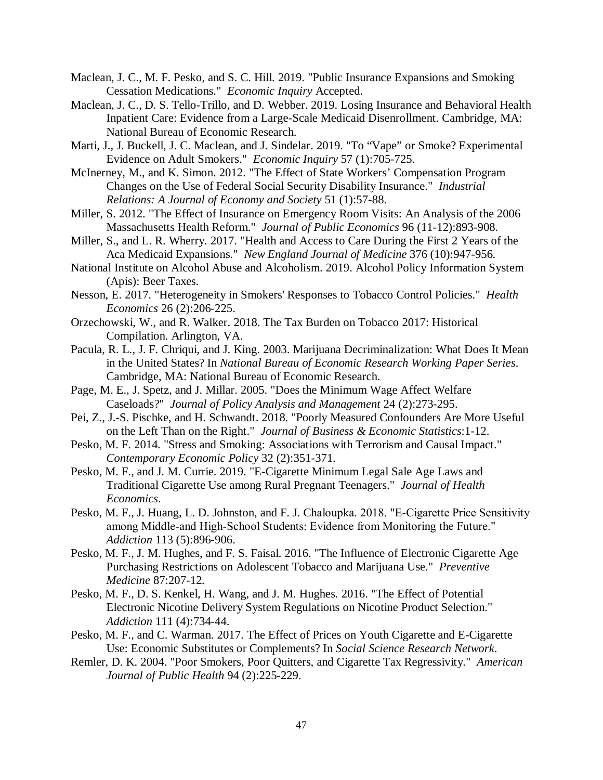- Maclean, J. C., M. F. Pesko, and S. C. Hill. 2019. "Public Insurance Expansions and Smoking Cessation Medications." *Economic Inquiry* Accepted.
- Maclean, J. C., D. S. Tello-Trillo, and D. Webber. 2019. Losing Insurance and Behavioral Health Inpatient Care: Evidence from a Large-Scale Medicaid Disenrollment. Cambridge, MA: National Bureau of Economic Research.
- Marti, J., J. Buckell, J. C. Maclean, and J. Sindelar. 2019. "To "Vape" or Smoke? Experimental Evidence on Adult Smokers." *Economic Inquiry* 57 (1):705-725.
- McInerney, M., and K. Simon. 2012. "The Effect of State Workers' Compensation Program Changes on the Use of Federal Social Security Disability Insurance." *Industrial Relations: A Journal of Economy and Society* 51 (1):57-88.
- Miller, S. 2012. "The Effect of Insurance on Emergency Room Visits: An Analysis of the 2006 Massachusetts Health Reform." *Journal of Public Economics* 96 (11-12):893-908.
- Miller, S., and L. R. Wherry. 2017. "Health and Access to Care During the First 2 Years of the Aca Medicaid Expansions." *New England Journal of Medicine* 376 (10):947-956.
- National Institute on Alcohol Abuse and Alcoholism. 2019. Alcohol Policy Information System (Apis): Beer Taxes.
- Nesson, E. 2017. "Heterogeneity in Smokers' Responses to Tobacco Control Policies." *Health Economics* 26 (2):206-225.
- Orzechowski, W., and R. Walker. 2018. The Tax Burden on Tobacco 2017: Historical Compilation. Arlington, VA.
- Pacula, R. L., J. F. Chriqui, and J. King. 2003. Marijuana Decriminalization: What Does It Mean in the United States? In *National Bureau of Economic Research Working Paper Series*. Cambridge, MA: National Bureau of Economic Research.
- Page, M. E., J. Spetz, and J. Millar. 2005. "Does the Minimum Wage Affect Welfare Caseloads?" *Journal of Policy Analysis and Management* 24 (2):273-295.
- Pei, Z., J.-S. Pischke, and H. Schwandt. 2018. "Poorly Measured Confounders Are More Useful on the Left Than on the Right." *Journal of Business & Economic Statistics*:1-12.
- Pesko, M. F. 2014. "Stress and Smoking: Associations with Terrorism and Causal Impact." *Contemporary Economic Policy* 32 (2):351-371.
- Pesko, M. F., and J. M. Currie. 2019. "E-Cigarette Minimum Legal Sale Age Laws and Traditional Cigarette Use among Rural Pregnant Teenagers." *Journal of Health Economics*.
- Pesko, M. F., J. Huang, L. D. Johnston, and F. J. Chaloupka. 2018. "E‐Cigarette Price Sensitivity among Middle‐and High‐School Students: Evidence from Monitoring the Future." *Addiction* 113 (5):896-906.
- Pesko, M. F., J. M. Hughes, and F. S. Faisal. 2016. "The Influence of Electronic Cigarette Age Purchasing Restrictions on Adolescent Tobacco and Marijuana Use." *Preventive Medicine* 87:207-12.
- Pesko, M. F., D. S. Kenkel, H. Wang, and J. M. Hughes. 2016. "The Effect of Potential Electronic Nicotine Delivery System Regulations on Nicotine Product Selection." *Addiction* 111 (4):734-44.
- Pesko, M. F., and C. Warman. 2017. The Effect of Prices on Youth Cigarette and E-Cigarette Use: Economic Substitutes or Complements? In *Social Science Research Network*.
- Remler, D. K. 2004. "Poor Smokers, Poor Quitters, and Cigarette Tax Regressivity." *American Journal of Public Health* 94 (2):225-229.